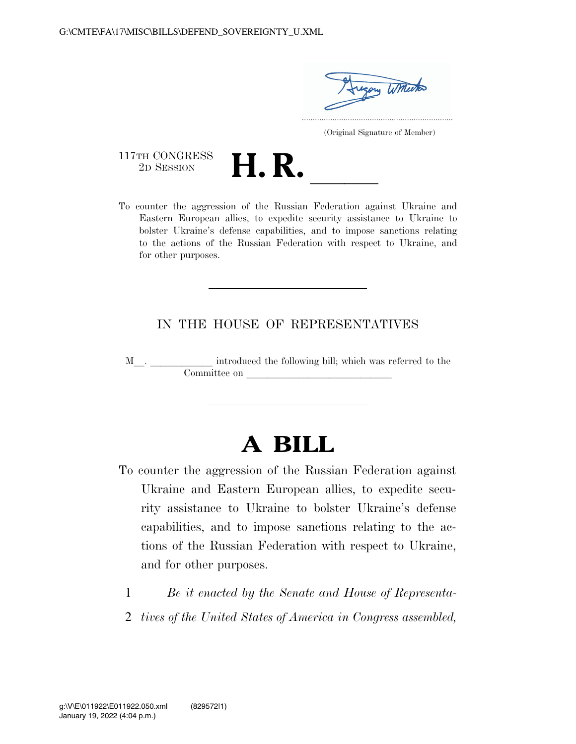gory Witherto .....................................................................

(Original Signature of Member)

117TH CONGRESS<br>2D SESSION

- 
- 117TH CONGRESS<br>
2D SESSION<br>
To counter the aggression of the Russian Federation against Ukraine and Eastern European allies, to expedite security assistance to Ukraine to bolster Ukraine's defense capabilities, and to impose sanctions relating to the actions of the Russian Federation with respect to Ukraine, and for other purposes.

#### IN THE HOUSE OF REPRESENTATIVES

M<sub>l</sub>. <u>Introduced</u> the following bill; which was referred to the Committee on llllllllllllll

# **A BILL**

- To counter the aggression of the Russian Federation against Ukraine and Eastern European allies, to expedite security assistance to Ukraine to bolster Ukraine's defense capabilities, and to impose sanctions relating to the actions of the Russian Federation with respect to Ukraine, and for other purposes.
	- 1 *Be it enacted by the Senate and House of Representa-*
	- 2 *tives of the United States of America in Congress assembled,*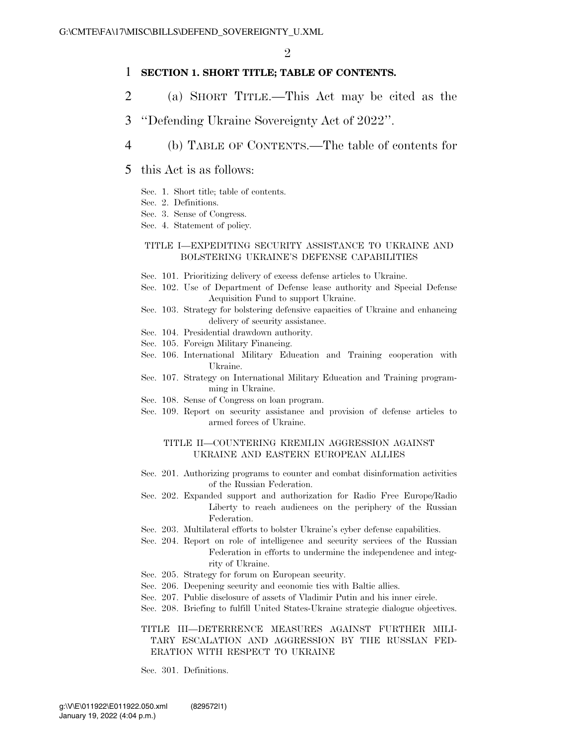#### 1 **SECTION 1. SHORT TITLE; TABLE OF CONTENTS.**

- 2 (a) SHORT TITLE.—This Act may be cited as the
- 3 ''Defending Ukraine Sovereignty Act of 2022''.
- 4 (b) TABLE OF CONTENTS.—The table of contents for
- 5 this Act is as follows:
	- Sec. 1. Short title; table of contents.
	- Sec. 2. Definitions.
	- Sec. 3. Sense of Congress.
	- Sec. 4. Statement of policy.

#### TITLE I—EXPEDITING SECURITY ASSISTANCE TO UKRAINE AND BOLSTERING UKRAINE'S DEFENSE CAPABILITIES

- Sec. 101. Prioritizing delivery of excess defense articles to Ukraine.
- Sec. 102. Use of Department of Defense lease authority and Special Defense Acquisition Fund to support Ukraine.
- Sec. 103. Strategy for bolstering defensive capacities of Ukraine and enhancing delivery of security assistance.
- Sec. 104. Presidential drawdown authority.
- Sec. 105. Foreign Military Financing.
- Sec. 106. International Military Education and Training cooperation with Ukraine.
- Sec. 107. Strategy on International Military Education and Training programming in Ukraine.
- Sec. 108. Sense of Congress on loan program.
- Sec. 109. Report on security assistance and provision of defense articles to armed forces of Ukraine.

#### TITLE II—COUNTERING KREMLIN AGGRESSION AGAINST UKRAINE AND EASTERN EUROPEAN ALLIES

- Sec. 201. Authorizing programs to counter and combat disinformation activities of the Russian Federation.
- Sec. 202. Expanded support and authorization for Radio Free Europe/Radio Liberty to reach audiences on the periphery of the Russian Federation.
- Sec. 203. Multilateral efforts to bolster Ukraine's cyber defense capabilities.
- Sec. 204. Report on role of intelligence and security services of the Russian Federation in efforts to undermine the independence and integrity of Ukraine.
- Sec. 205. Strategy for forum on European security.
- Sec. 206. Deepening security and economic ties with Baltic allies.
- Sec. 207. Public disclosure of assets of Vladimir Putin and his inner circle.
- Sec. 208. Briefing to fulfill United States-Ukraine strategic dialogue objectives.

#### TITLE III—DETERRENCE MEASURES AGAINST FURTHER MILI-TARY ESCALATION AND AGGRESSION BY THE RUSSIAN FED-ERATION WITH RESPECT TO UKRAINE

Sec. 301. Definitions.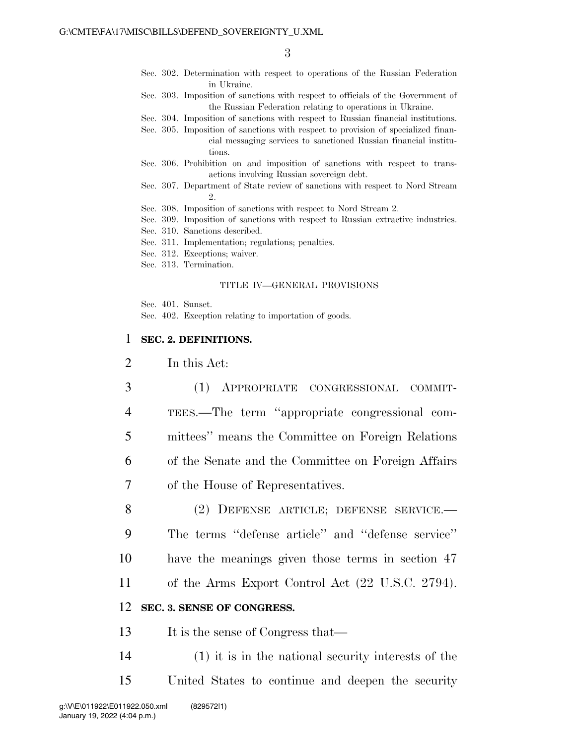- Sec. 302. Determination with respect to operations of the Russian Federation in Ukraine.
- Sec. 303. Imposition of sanctions with respect to officials of the Government of the Russian Federation relating to operations in Ukraine.
- Sec. 304. Imposition of sanctions with respect to Russian financial institutions.
- Sec. 305. Imposition of sanctions with respect to provision of specialized financial messaging services to sanctioned Russian financial institutions.
- Sec. 306. Prohibition on and imposition of sanctions with respect to transactions involving Russian sovereign debt.
- Sec. 307. Department of State review of sanctions with respect to Nord Stream  $\mathcal{D}_{\mathcal{L}}$
- Sec. 308. Imposition of sanctions with respect to Nord Stream 2.
- Sec. 309. Imposition of sanctions with respect to Russian extractive industries.
- Sec. 310. Sanctions described.
- Sec. 311. Implementation; regulations; penalties.
- Sec. 312. Exceptions; waiver.
- Sec. 313. Termination.

#### TITLE IV—GENERAL PROVISIONS

Sec. 401. Sunset.

Sec. 402. Exception relating to importation of goods.

#### 1 **SEC. 2. DEFINITIONS.**

2 In this Act:

- 3 (1) APPROPRIATE CONGRESSIONAL COMMIT-4 TEES.—The term ''appropriate congressional com-5 mittees'' means the Committee on Foreign Relations 6 of the Senate and the Committee on Foreign Affairs 7 of the House of Representatives.
- 8 (2) DEFENSE ARTICLE; DEFENSE SERVICE.— 9 The terms ''defense article'' and ''defense service'' 10 have the meanings given those terms in section 47 11 of the Arms Export Control Act (22 U.S.C. 2794).

#### 12 **SEC. 3. SENSE OF CONGRESS.**

13 It is the sense of Congress that—

14 (1) it is in the national security interests of the 15 United States to continue and deepen the security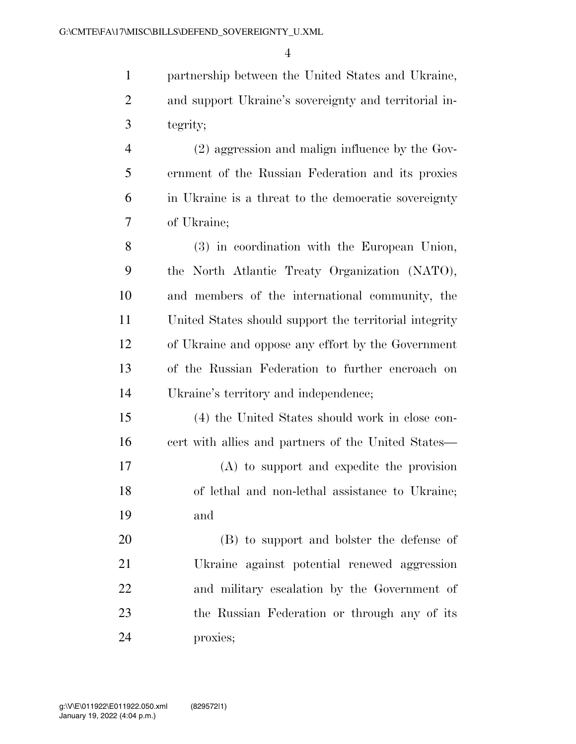partnership between the United States and Ukraine, and support Ukraine's sovereignty and territorial in-tegrity;

 (2) aggression and malign influence by the Gov- ernment of the Russian Federation and its proxies in Ukraine is a threat to the democratic sovereignty of Ukraine;

 (3) in coordination with the European Union, the North Atlantic Treaty Organization (NATO), and members of the international community, the United States should support the territorial integrity of Ukraine and oppose any effort by the Government of the Russian Federation to further encroach on Ukraine's territory and independence;

 (4) the United States should work in close con-16 cert with allies and partners of the United States—

 (A) to support and expedite the provision of lethal and non-lethal assistance to Ukraine; and

 (B) to support and bolster the defense of Ukraine against potential renewed aggression and military escalation by the Government of the Russian Federation or through any of its proxies;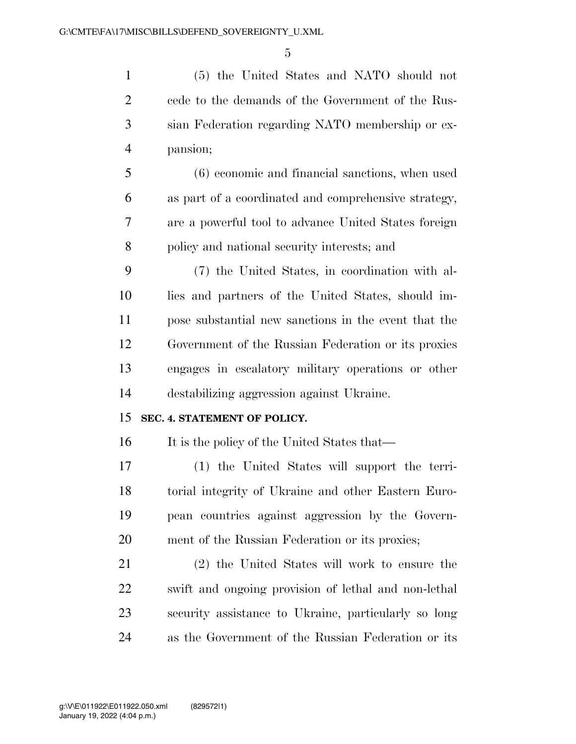(5) the United States and NATO should not cede to the demands of the Government of the Rus- sian Federation regarding NATO membership or ex-pansion;

 (6) economic and financial sanctions, when used as part of a coordinated and comprehensive strategy, are a powerful tool to advance United States foreign policy and national security interests; and

 (7) the United States, in coordination with al- lies and partners of the United States, should im- pose substantial new sanctions in the event that the Government of the Russian Federation or its proxies engages in escalatory military operations or other destabilizing aggression against Ukraine.

#### **SEC. 4. STATEMENT OF POLICY.**

16 It is the policy of the United States that—

 (1) the United States will support the terri- torial integrity of Ukraine and other Eastern Euro- pean countries against aggression by the Govern-ment of the Russian Federation or its proxies;

 (2) the United States will work to ensure the swift and ongoing provision of lethal and non-lethal security assistance to Ukraine, particularly so long as the Government of the Russian Federation or its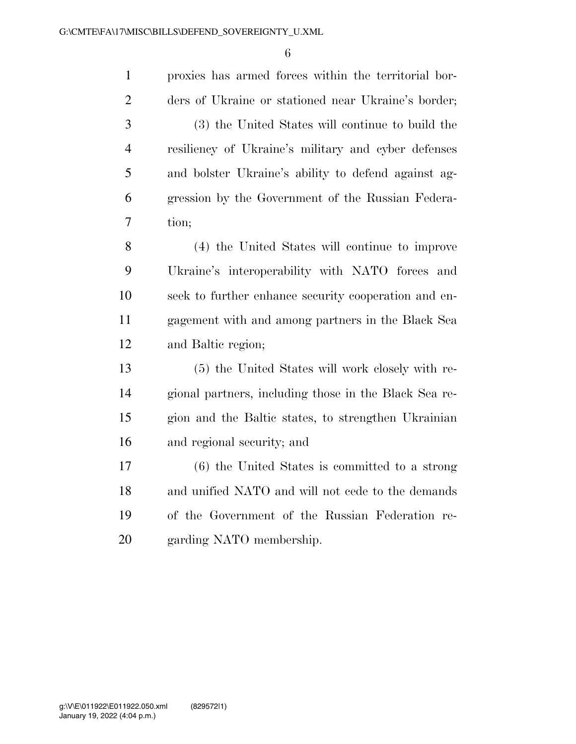proxies has armed forces within the territorial bor- ders of Ukraine or stationed near Ukraine's border; (3) the United States will continue to build the resiliency of Ukraine's military and cyber defenses and bolster Ukraine's ability to defend against ag- gression by the Government of the Russian Federa- tion; (4) the United States will continue to improve Ukraine's interoperability with NATO forces and seek to further enhance security cooperation and en- gagement with and among partners in the Black Sea and Baltic region; (5) the United States will work closely with re- gional partners, including those in the Black Sea re- gion and the Baltic states, to strengthen Ukrainian and regional security; and (6) the United States is committed to a strong and unified NATO and will not cede to the demands of the Government of the Russian Federation re-garding NATO membership.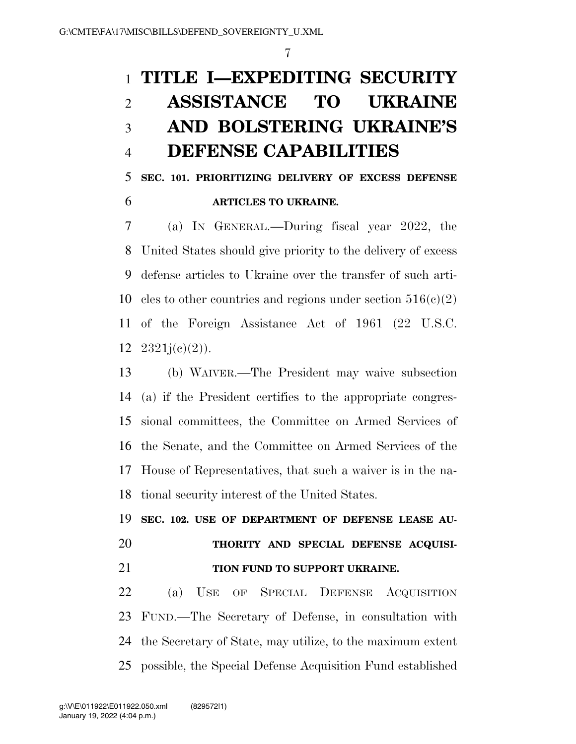# **TITLE I—EXPEDITING SECURITY ASSISTANCE TO UKRAINE AND BOLSTERING UKRAINE'S DEFENSE CAPABILITIES**

 **SEC. 101. PRIORITIZING DELIVERY OF EXCESS DEFENSE ARTICLES TO UKRAINE.** 

 (a) IN GENERAL.—During fiscal year 2022, the United States should give priority to the delivery of excess defense articles to Ukraine over the transfer of such arti-10 cles to other countries and regions under section  $516(c)(2)$  of the Foreign Assistance Act of 1961 (22 U.S.C.  $2321j(e)(2)$ ).

 (b) WAIVER.—The President may waive subsection (a) if the President certifies to the appropriate congres- sional committees, the Committee on Armed Services of the Senate, and the Committee on Armed Services of the House of Representatives, that such a waiver is in the na-tional security interest of the United States.

 **SEC. 102. USE OF DEPARTMENT OF DEFENSE LEASE AU- THORITY AND SPECIAL DEFENSE ACQUISI-TION FUND TO SUPPORT UKRAINE.** 

 (a) USE OF SPECIAL DEFENSE ACQUISITION FUND.—The Secretary of Defense, in consultation with the Secretary of State, may utilize, to the maximum extent possible, the Special Defense Acquisition Fund established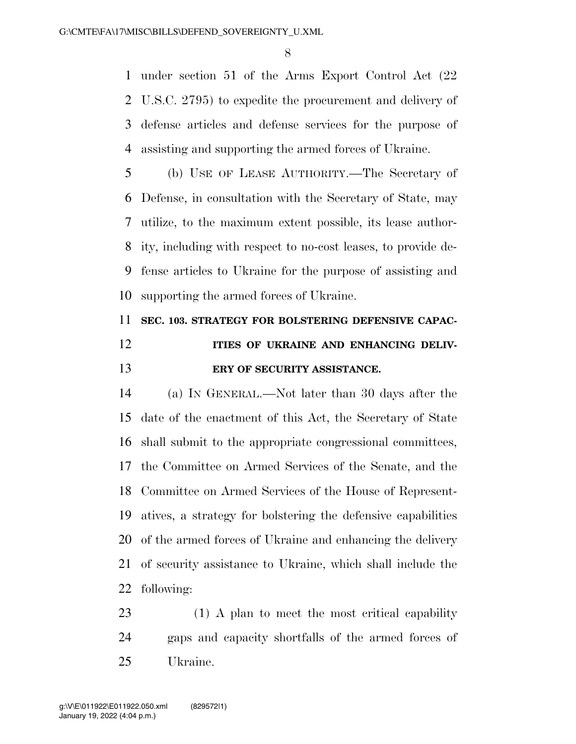under section 51 of the Arms Export Control Act (22 U.S.C. 2795) to expedite the procurement and delivery of defense articles and defense services for the purpose of assisting and supporting the armed forces of Ukraine.

 (b) USE OF LEASE AUTHORITY.—The Secretary of Defense, in consultation with the Secretary of State, may utilize, to the maximum extent possible, its lease author- ity, including with respect to no-cost leases, to provide de- fense articles to Ukraine for the purpose of assisting and supporting the armed forces of Ukraine.

### **SEC. 103. STRATEGY FOR BOLSTERING DEFENSIVE CAPAC-ITIES OF UKRAINE AND ENHANCING DELIV-ERY OF SECURITY ASSISTANCE.**

 (a) IN GENERAL.—Not later than 30 days after the date of the enactment of this Act, the Secretary of State shall submit to the appropriate congressional committees, the Committee on Armed Services of the Senate, and the Committee on Armed Services of the House of Represent- atives, a strategy for bolstering the defensive capabilities of the armed forces of Ukraine and enhancing the delivery of security assistance to Ukraine, which shall include the following:

23 (1) A plan to meet the most critical capability gaps and capacity shortfalls of the armed forces of Ukraine.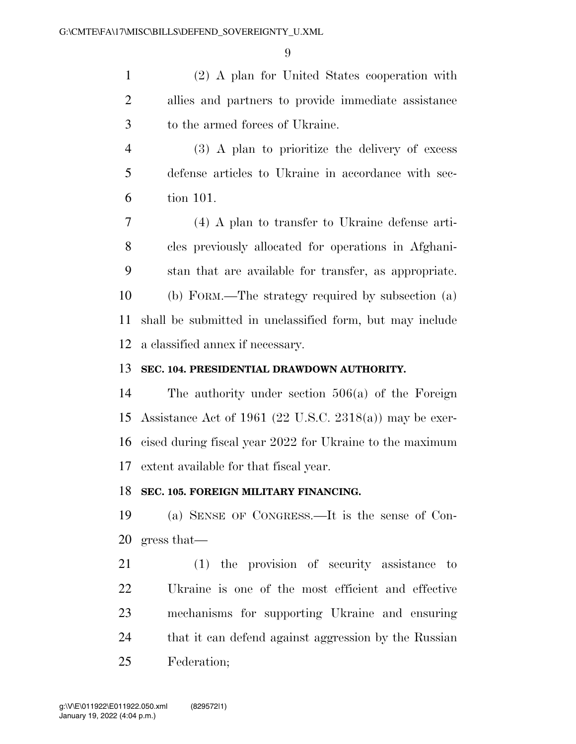(2) A plan for United States cooperation with allies and partners to provide immediate assistance to the armed forces of Ukraine.

 (3) A plan to prioritize the delivery of excess defense articles to Ukraine in accordance with sec-tion 101.

 (4) A plan to transfer to Ukraine defense arti- cles previously allocated for operations in Afghani- stan that are available for transfer, as appropriate. (b) FORM.—The strategy required by subsection (a) shall be submitted in unclassified form, but may include a classified annex if necessary.

#### **SEC. 104. PRESIDENTIAL DRAWDOWN AUTHORITY.**

 The authority under section 506(a) of the Foreign Assistance Act of 1961 (22 U.S.C. 2318(a)) may be exer- cised during fiscal year 2022 for Ukraine to the maximum extent available for that fiscal year.

#### **SEC. 105. FOREIGN MILITARY FINANCING.**

 (a) SENSE OF CONGRESS.—It is the sense of Con-gress that—

 (1) the provision of security assistance to Ukraine is one of the most efficient and effective mechanisms for supporting Ukraine and ensuring that it can defend against aggression by the Russian Federation;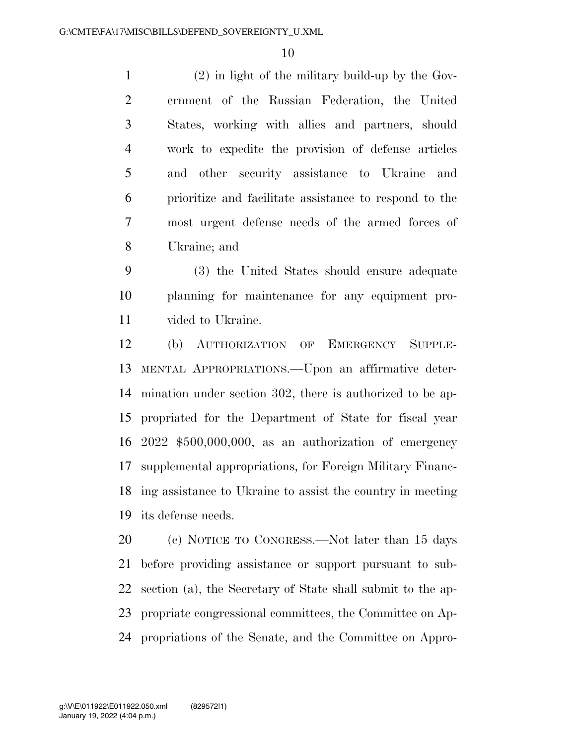(2) in light of the military build-up by the Gov- ernment of the Russian Federation, the United States, working with allies and partners, should work to expedite the provision of defense articles and other security assistance to Ukraine and prioritize and facilitate assistance to respond to the most urgent defense needs of the armed forces of Ukraine; and

 (3) the United States should ensure adequate planning for maintenance for any equipment pro-vided to Ukraine.

 (b) AUTHORIZATION OF EMERGENCY SUPPLE- MENTAL APPROPRIATIONS.—Upon an affirmative deter- mination under section 302, there is authorized to be ap- propriated for the Department of State for fiscal year 2022 \$500,000,000, as an authorization of emergency supplemental appropriations, for Foreign Military Financ- ing assistance to Ukraine to assist the country in meeting its defense needs.

 (c) NOTICE TO CONGRESS.—Not later than 15 days before providing assistance or support pursuant to sub- section (a), the Secretary of State shall submit to the ap- propriate congressional committees, the Committee on Ap-propriations of the Senate, and the Committee on Appro-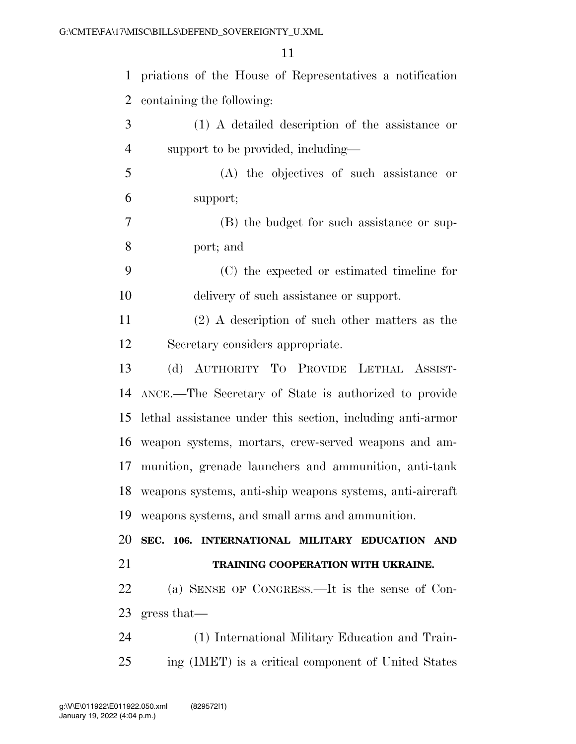| $\mathbf{1}$   | priations of the House of Representatives a notification     |
|----------------|--------------------------------------------------------------|
| $\overline{2}$ | containing the following:                                    |
| 3              | (1) A detailed description of the assistance or              |
| $\overline{4}$ | support to be provided, including—                           |
| 5              | (A) the objectives of such assistance or                     |
| 6              | support;                                                     |
| 7              | (B) the budget for such assistance or sup-                   |
| 8              | port; and                                                    |
| 9              | (C) the expected or estimated timeline for                   |
| 10             | delivery of such assistance or support.                      |
| 11             | $(2)$ A description of such other matters as the             |
| 12             | Secretary considers appropriate.                             |
| 13             | (d) AUTHORITY TO PROVIDE LETHAL ASSIST-                      |
| 14             | ANCE.—The Secretary of State is authorized to provide        |
| 15             | lethal assistance under this section, including anti-armor   |
|                | 16 weapon systems, mortars, crew-served weapons and am-      |
| 17             | munition, grenade launchers and ammunition, anti-tank        |
|                | 18 weapons systems, anti-ship weapons systems, anti-aircraft |
| 19             | weapons systems, and small arms and ammunition.              |
| 20             | SEC. 106. INTERNATIONAL MILITARY EDUCATION AND               |
| 21             | TRAINING COOPERATION WITH UKRAINE.                           |
| 22             | (a) SENSE OF CONGRESS.—It is the sense of Con-               |
| 23             | gress that                                                   |
| 24             | (1) International Military Education and Train-              |
| 25             | ing (IMET) is a critical component of United States          |
|                |                                                              |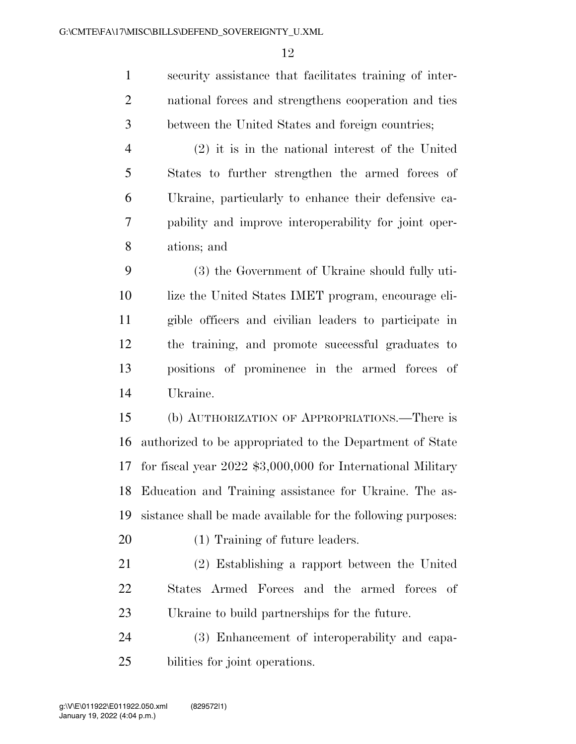security assistance that facilitates training of inter- national forces and strengthens cooperation and ties between the United States and foreign countries;

 (2) it is in the national interest of the United States to further strengthen the armed forces of Ukraine, particularly to enhance their defensive ca- pability and improve interoperability for joint oper-ations; and

 (3) the Government of Ukraine should fully uti- lize the United States IMET program, encourage eli- gible officers and civilian leaders to participate in the training, and promote successful graduates to positions of prominence in the armed forces of Ukraine.

 (b) AUTHORIZATION OF APPROPRIATIONS.—There is authorized to be appropriated to the Department of State for fiscal year 2022 \$3,000,000 for International Military Education and Training assistance for Ukraine. The as-sistance shall be made available for the following purposes:

(1) Training of future leaders.

 (2) Establishing a rapport between the United States Armed Forces and the armed forces of Ukraine to build partnerships for the future.

 (3) Enhancement of interoperability and capa-bilities for joint operations.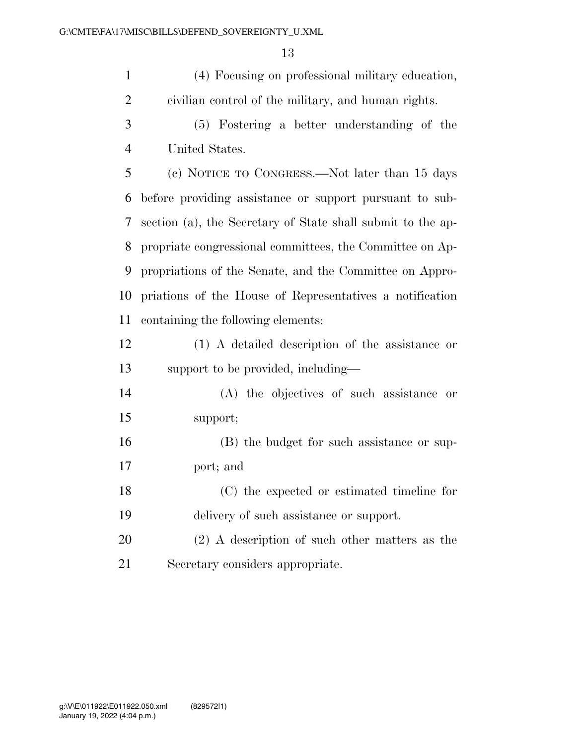(4) Focusing on professional military education, civilian control of the military, and human rights.

 (5) Fostering a better understanding of the United States.

 (c) NOTICE TO CONGRESS.—Not later than 15 days before providing assistance or support pursuant to sub- section (a), the Secretary of State shall submit to the ap- propriate congressional committees, the Committee on Ap- propriations of the Senate, and the Committee on Appro- priations of the House of Representatives a notification containing the following elements:

| 12 | (1) A detailed description of the assistance or |
|----|-------------------------------------------------|
| 13 | support to be provided, including—              |

 (A) the objectives of such assistance or support;

 (B) the budget for such assistance or sup-port; and

 (C) the expected or estimated timeline for delivery of such assistance or support.

 (2) A description of such other matters as the Secretary considers appropriate.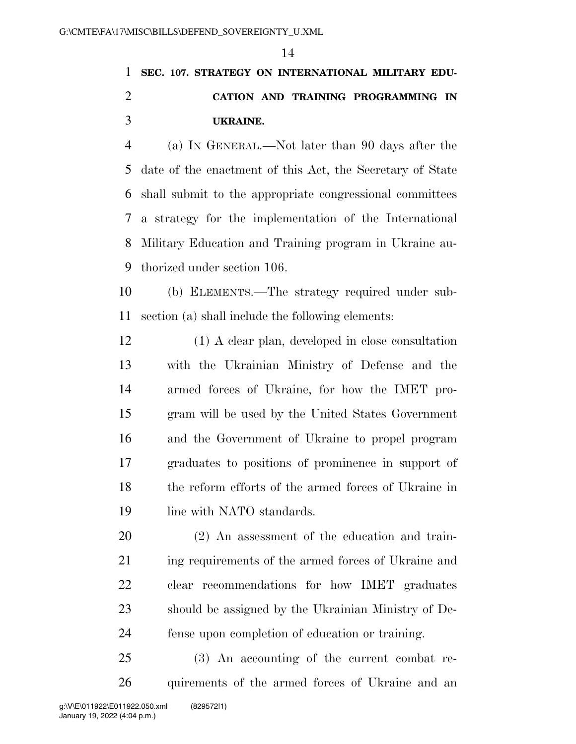### **SEC. 107. STRATEGY ON INTERNATIONAL MILITARY EDU- CATION AND TRAINING PROGRAMMING IN UKRAINE.**

 (a) IN GENERAL.—Not later than 90 days after the date of the enactment of this Act, the Secretary of State shall submit to the appropriate congressional committees a strategy for the implementation of the International Military Education and Training program in Ukraine au-thorized under section 106.

 (b) ELEMENTS.—The strategy required under sub-section (a) shall include the following elements:

 (1) A clear plan, developed in close consultation with the Ukrainian Ministry of Defense and the armed forces of Ukraine, for how the IMET pro- gram will be used by the United States Government and the Government of Ukraine to propel program graduates to positions of prominence in support of the reform efforts of the armed forces of Ukraine in 19 line with NATO standards.

 (2) An assessment of the education and train- ing requirements of the armed forces of Ukraine and clear recommendations for how IMET graduates should be assigned by the Ukrainian Ministry of De-fense upon completion of education or training.

 (3) An accounting of the current combat re-quirements of the armed forces of Ukraine and an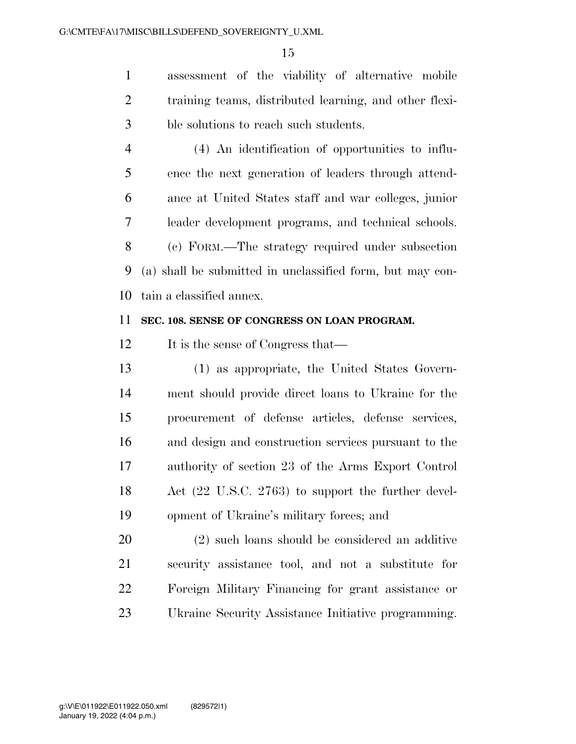assessment of the viability of alternative mobile training teams, distributed learning, and other flexi-ble solutions to reach such students.

 (4) An identification of opportunities to influ- ence the next generation of leaders through attend- ance at United States staff and war colleges, junior leader development programs, and technical schools. (c) FORM.—The strategy required under subsection (a) shall be submitted in unclassified form, but may con-tain a classified annex.

#### **SEC. 108. SENSE OF CONGRESS ON LOAN PROGRAM.**

12 It is the sense of Congress that—

 (1) as appropriate, the United States Govern- ment should provide direct loans to Ukraine for the procurement of defense articles, defense services, and design and construction services pursuant to the authority of section 23 of the Arms Export Control Act (22 U.S.C. 2763) to support the further devel-opment of Ukraine's military forces; and

 (2) such loans should be considered an additive security assistance tool, and not a substitute for Foreign Military Financing for grant assistance or Ukraine Security Assistance Initiative programming.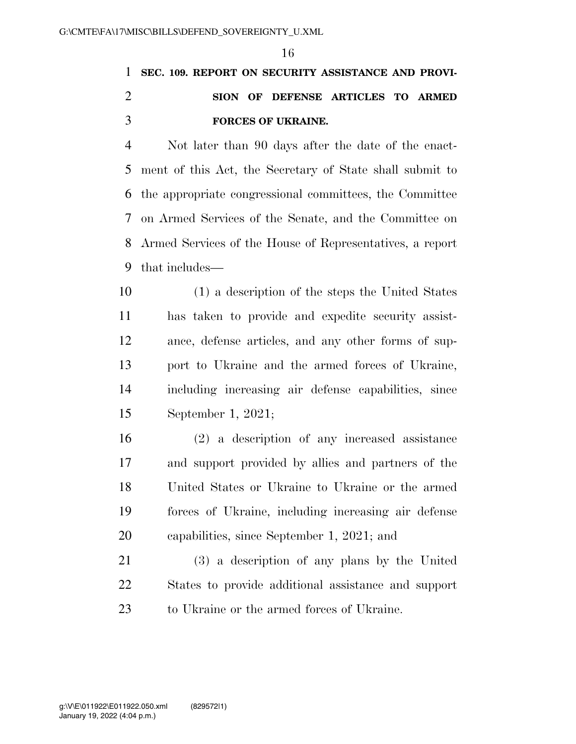### **SEC. 109. REPORT ON SECURITY ASSISTANCE AND PROVI- SION OF DEFENSE ARTICLES TO ARMED FORCES OF UKRAINE.**

 Not later than 90 days after the date of the enact- ment of this Act, the Secretary of State shall submit to the appropriate congressional committees, the Committee on Armed Services of the Senate, and the Committee on Armed Services of the House of Representatives, a report that includes—

 (1) a description of the steps the United States has taken to provide and expedite security assist- ance, defense articles, and any other forms of sup- port to Ukraine and the armed forces of Ukraine, including increasing air defense capabilities, since September 1, 2021;

 (2) a description of any increased assistance and support provided by allies and partners of the United States or Ukraine to Ukraine or the armed forces of Ukraine, including increasing air defense capabilities, since September 1, 2021; and

 (3) a description of any plans by the United States to provide additional assistance and support to Ukraine or the armed forces of Ukraine.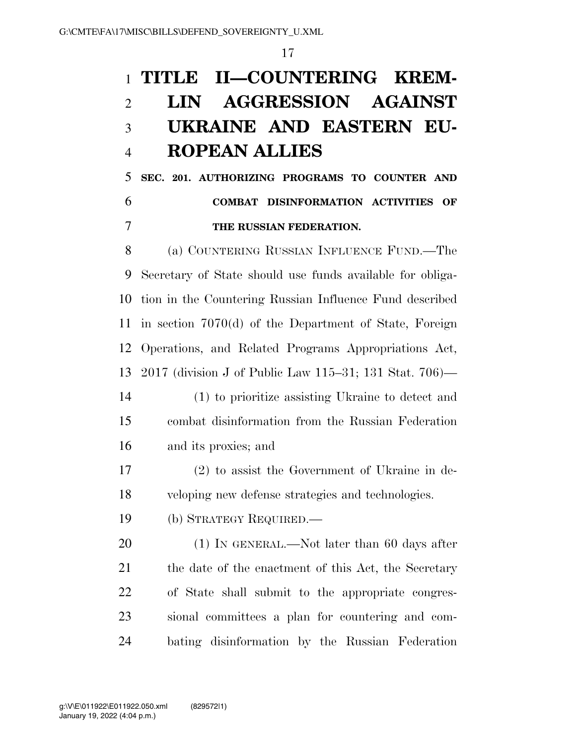## **TITLE II—COUNTERING KREM- LIN AGGRESSION AGAINST UKRAINE AND EASTERN EU-ROPEAN ALLIES**

 **SEC. 201. AUTHORIZING PROGRAMS TO COUNTER AND COMBAT DISINFORMATION ACTIVITIES OF THE RUSSIAN FEDERATION.** 

 (a) COUNTERING RUSSIAN INFLUENCE FUND.—The Secretary of State should use funds available for obliga- tion in the Countering Russian Influence Fund described in section 7070(d) of the Department of State, Foreign Operations, and Related Programs Appropriations Act, 2017 (division J of Public Law 115–31; 131 Stat. 706)—

- (1) to prioritize assisting Ukraine to detect and combat disinformation from the Russian Federation and its proxies; and
- (2) to assist the Government of Ukraine in de-veloping new defense strategies and technologies.
- (b) STRATEGY REQUIRED.—

20 (1) IN GENERAL.—Not later than 60 days after 21 the date of the enactment of this Act, the Secretary of State shall submit to the appropriate congres- sional committees a plan for countering and com-bating disinformation by the Russian Federation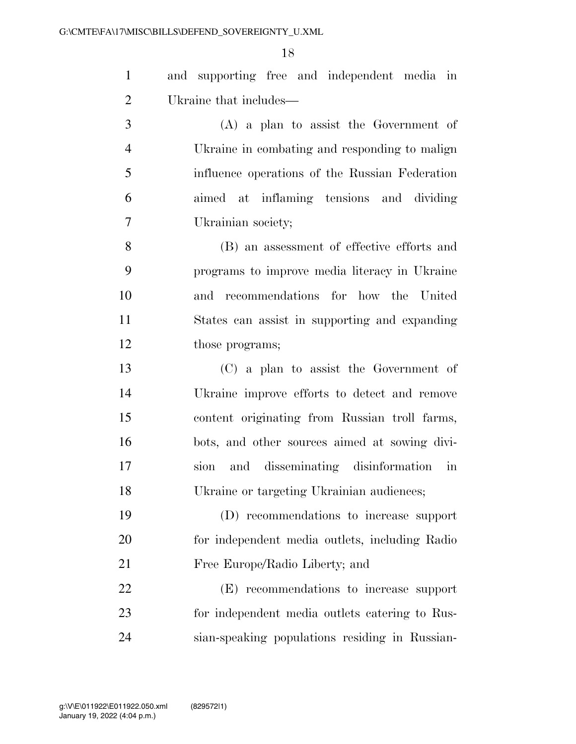and supporting free and independent media in Ukraine that includes—

 (A) a plan to assist the Government of Ukraine in combating and responding to malign influence operations of the Russian Federation aimed at inflaming tensions and dividing Ukrainian society;

 (B) an assessment of effective efforts and programs to improve media literacy in Ukraine and recommendations for how the United States can assist in supporting and expanding 12 those programs;

 (C) a plan to assist the Government of Ukraine improve efforts to detect and remove content originating from Russian troll farms, bots, and other sources aimed at sowing divi- sion and disseminating disinformation in Ukraine or targeting Ukrainian audiences;

 (D) recommendations to increase support for independent media outlets, including Radio Free Europe/Radio Liberty; and

 (E) recommendations to increase support for independent media outlets catering to Rus-sian-speaking populations residing in Russian-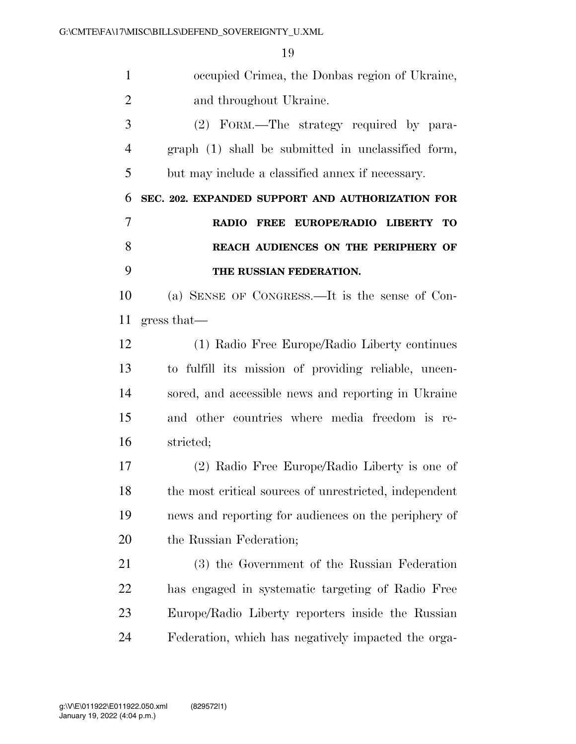| $\mathbf{1}$   | occupied Crimea, the Donbas region of Ukraine,         |
|----------------|--------------------------------------------------------|
| $\overline{2}$ | and throughout Ukraine.                                |
| 3              | (2) FORM.—The strategy required by para-               |
| $\overline{4}$ | graph (1) shall be submitted in unclassified form,     |
| 5              | but may include a classified annex if necessary.       |
| 6              | SEC. 202. EXPANDED SUPPORT AND AUTHORIZATION FOR       |
| 7              | RADIO FREE EUROPE/RADIO LIBERTY TO                     |
| 8              | REACH AUDIENCES ON THE PERIPHERY OF                    |
| 9              | THE RUSSIAN FEDERATION.                                |
| 10             | (a) SENSE OF CONGRESS.—It is the sense of Con-         |
| 11             | gress that                                             |
| 12             | (1) Radio Free Europe/Radio Liberty continues          |
| 13             | to fulfill its mission of providing reliable, uncen-   |
| 14             | sored, and accessible news and reporting in Ukraine    |
| 15             | and other countries where media freedom is re-         |
| 16             | stricted;                                              |
| 17             | (2) Radio Free Europe/Radio Liberty is one of          |
| 18             | the most critical sources of unrestricted, independent |
| 19             | news and reporting for audiences on the periphery of   |
| <b>20</b>      | the Russian Federation;                                |
| 21             | (3) the Government of the Russian Federation           |
| <u>22</u>      | has engaged in systematic targeting of Radio Free      |
| 23             | Europe/Radio Liberty reporters inside the Russian      |
| 24             | Federation, which has negatively impacted the orga-    |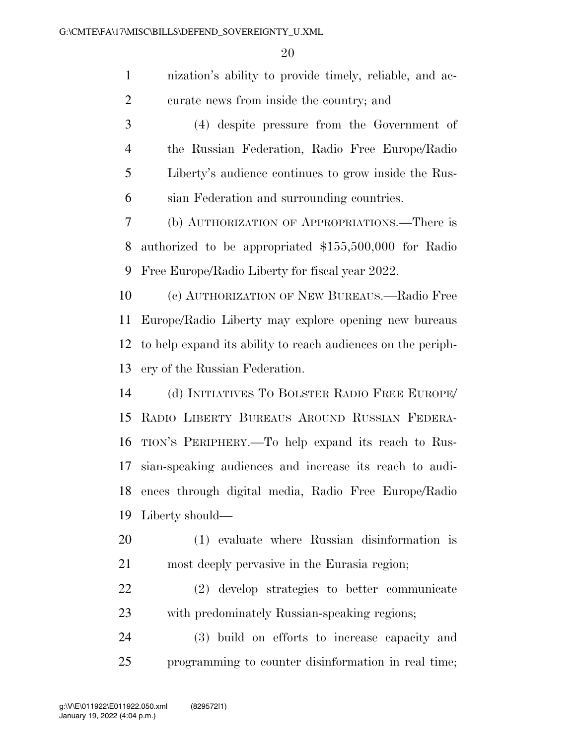| $\mathbf{1}$   | nization's ability to provide timely, reliable, and ac-      |
|----------------|--------------------------------------------------------------|
| $\overline{2}$ | curate news from inside the country; and                     |
| 3              | (4) despite pressure from the Government of                  |
| $\overline{4}$ | the Russian Federation, Radio Free Europe/Radio              |
| 5              | Liberty's audience continues to grow inside the Rus-         |
| 6              | sian Federation and surrounding countries.                   |
| 7              | (b) AUTHORIZATION OF APPROPRIATIONS.—There is                |
| 8              | authorized to be appropriated \$155,500,000 for Radio        |
| 9              | Free Europe/Radio Liberty for fiscal year 2022.              |
| 10             | (c) AUTHORIZATION OF NEW BUREAUS.—Radio Free                 |
| 11             | Europe/Radio Liberty may explore opening new bureaus         |
| 12             | to help expand its ability to reach audiences on the periph- |
| 13             | ery of the Russian Federation.                               |
| 14             | (d) INITIATIVES TO BOLSTER RADIO FREE EUROPE/                |
| 15             | RADIO LIBERTY BUREAUS AROUND RUSSIAN FEDERA-                 |
| 16             | TION'S PERIPHERY.—To help expand its reach to Rus-           |
| 17             | sian-speaking audiences and increase its reach to audi-      |
| 18             | ences through digital media, Radio Free Europe/Radio         |
| 19             | Liberty should—                                              |
| 20             | (1) evaluate where Russian disinformation is                 |
| 21             | most deeply pervasive in the Eurasia region;                 |
| 22             | (2) develop strategies to better communicate                 |
| 23             | with predominately Russian-speaking regions;                 |
| 24             | (3) build on efforts to increase capacity and                |
| 25             | programming to counter disinformation in real time;          |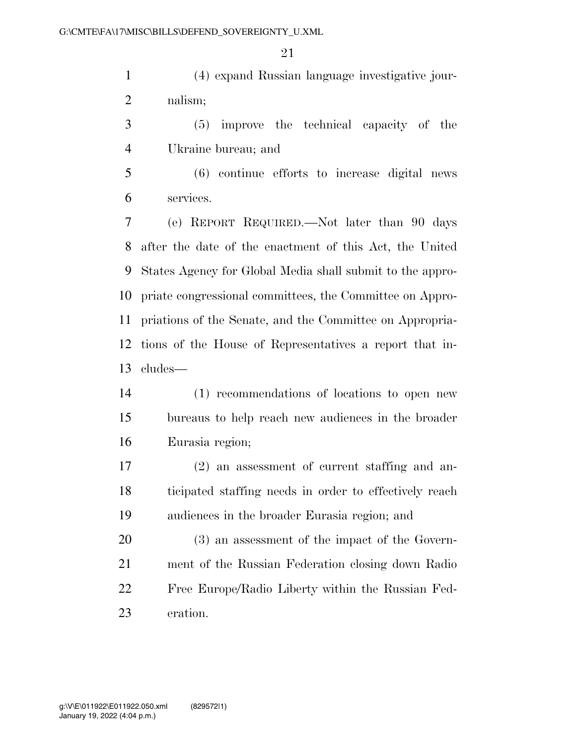(4) expand Russian language investigative jour-nalism;

 (5) improve the technical capacity of the Ukraine bureau; and

 (6) continue efforts to increase digital news services.

 (e) REPORT REQUIRED.—Not later than 90 days after the date of the enactment of this Act, the United States Agency for Global Media shall submit to the appro- priate congressional committees, the Committee on Appro- priations of the Senate, and the Committee on Appropria- tions of the House of Representatives a report that in-cludes—

- (1) recommendations of locations to open new bureaus to help reach new audiences in the broader Eurasia region;
- (2) an assessment of current staffing and an- ticipated staffing needs in order to effectively reach audiences in the broader Eurasia region; and

 (3) an assessment of the impact of the Govern- ment of the Russian Federation closing down Radio Free Europe/Radio Liberty within the Russian Fed-eration.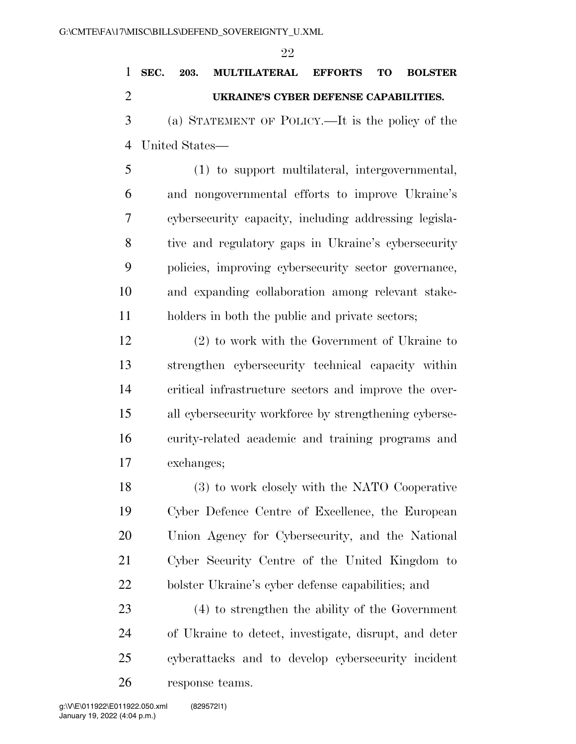## **SEC. 203. MULTILATERAL EFFORTS TO BOLSTER UKRAINE'S CYBER DEFENSE CAPABILITIES.**

 (a) STATEMENT OF POLICY.—It is the policy of the United States—

 (1) to support multilateral, intergovernmental, and nongovernmental efforts to improve Ukraine's cybersecurity capacity, including addressing legisla- tive and regulatory gaps in Ukraine's cybersecurity policies, improving cybersecurity sector governance, and expanding collaboration among relevant stake-holders in both the public and private sectors;

 (2) to work with the Government of Ukraine to strengthen cybersecurity technical capacity within critical infrastructure sectors and improve the over- all cybersecurity workforce by strengthening cyberse- curity-related academic and training programs and exchanges;

 (3) to work closely with the NATO Cooperative Cyber Defence Centre of Excellence, the European Union Agency for Cybersecurity, and the National Cyber Security Centre of the United Kingdom to bolster Ukraine's cyber defense capabilities; and

 (4) to strengthen the ability of the Government of Ukraine to detect, investigate, disrupt, and deter cyberattacks and to develop cybersecurity incident response teams.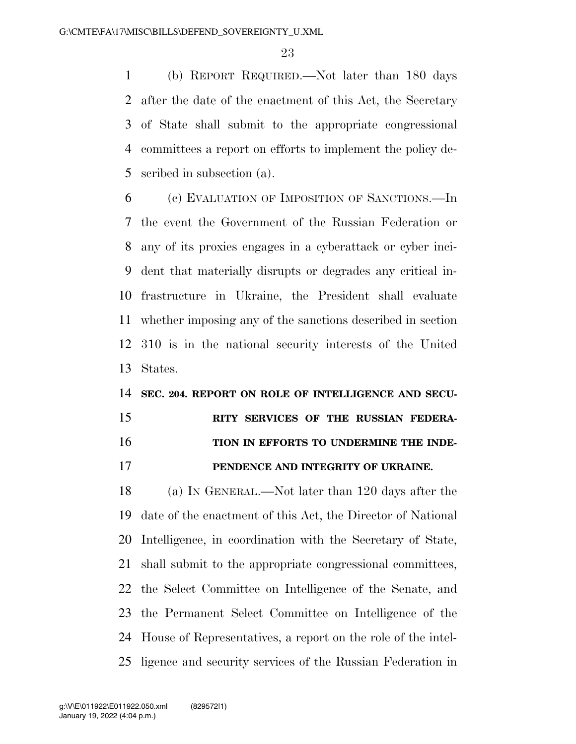(b) REPORT REQUIRED.—Not later than 180 days after the date of the enactment of this Act, the Secretary of State shall submit to the appropriate congressional committees a report on efforts to implement the policy de-scribed in subsection (a).

 (c) EVALUATION OF IMPOSITION OF SANCTIONS.—In the event the Government of the Russian Federation or any of its proxies engages in a cyberattack or cyber inci- dent that materially disrupts or degrades any critical in- frastructure in Ukraine, the President shall evaluate whether imposing any of the sanctions described in section 310 is in the national security interests of the United States.

#### **SEC. 204. REPORT ON ROLE OF INTELLIGENCE AND SECU-**

### **RITY SERVICES OF THE RUSSIAN FEDERA-TION IN EFFORTS TO UNDERMINE THE INDE-**

**PENDENCE AND INTEGRITY OF UKRAINE.** 

 (a) IN GENERAL.—Not later than 120 days after the date of the enactment of this Act, the Director of National Intelligence, in coordination with the Secretary of State, shall submit to the appropriate congressional committees, the Select Committee on Intelligence of the Senate, and the Permanent Select Committee on Intelligence of the House of Representatives, a report on the role of the intel-ligence and security services of the Russian Federation in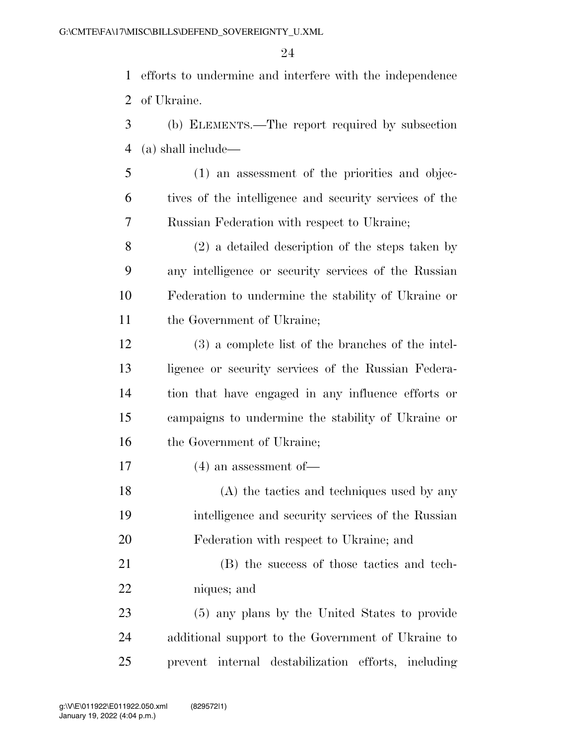efforts to undermine and interfere with the independence of Ukraine.

- (b) ELEMENTS.—The report required by subsection (a) shall include—
- (1) an assessment of the priorities and objec- tives of the intelligence and security services of the Russian Federation with respect to Ukraine;

 (2) a detailed description of the steps taken by any intelligence or security services of the Russian Federation to undermine the stability of Ukraine or the Government of Ukraine;

- (3) a complete list of the branches of the intel- ligence or security services of the Russian Federa- tion that have engaged in any influence efforts or campaigns to undermine the stability of Ukraine or 16 the Government of Ukraine;
- (4) an assessment of—
- (A) the tactics and techniques used by any intelligence and security services of the Russian Federation with respect to Ukraine; and
- (B) the success of those tactics and tech-niques; and
- (5) any plans by the United States to provide additional support to the Government of Ukraine to prevent internal destabilization efforts, including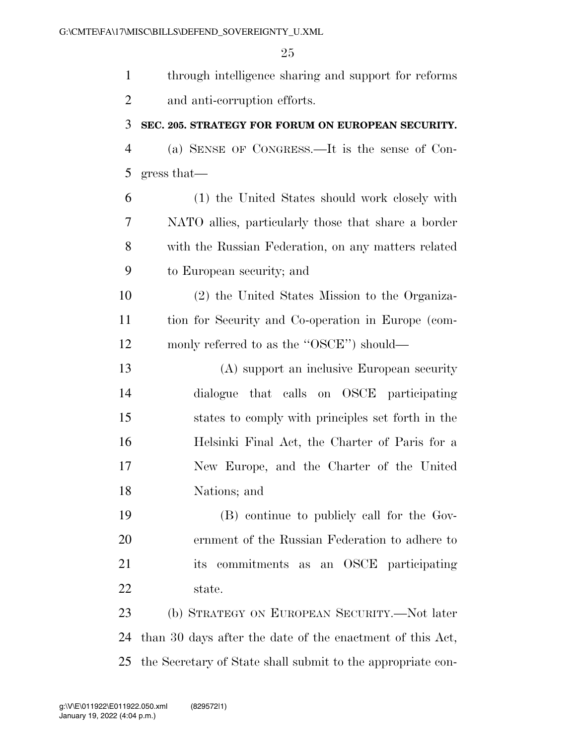| $\mathbf{1}$   | through intelligence sharing and support for reforms        |
|----------------|-------------------------------------------------------------|
| $\overline{2}$ | and anti-corruption efforts.                                |
| 3              | SEC. 205. STRATEGY FOR FORUM ON EUROPEAN SECURITY.          |
| $\overline{4}$ | (a) SENSE OF CONGRESS.—It is the sense of Con-              |
| 5              | gress that                                                  |
| 6              | (1) the United States should work closely with              |
| 7              | NATO allies, particularly those that share a border         |
| 8              | with the Russian Federation, on any matters related         |
| 9              | to European security; and                                   |
| 10             | (2) the United States Mission to the Organiza-              |
| 11             | tion for Security and Co-operation in Europe (com-          |
| 12             | monly referred to as the "OSCE") should—                    |
| 13             | (A) support an inclusive European security                  |
| 14             | dialogue that calls on OSCE participating                   |
| 15             | states to comply with principles set forth in the           |
| 16             | Helsinki Final Act, the Charter of Paris for a              |
| 17             | New Europe, and the Charter of the United                   |
| 18             | Nations; and                                                |
| 19             | (B) continue to publicly call for the Gov-                  |
| 20             | ernment of the Russian Federation to adhere to              |
| 21             | commitments as an OSCE participating<br>its                 |
| 22             | state.                                                      |
| 23             | (b) STRATEGY ON EUROPEAN SECURITY.—Not later                |
| 24             | than 30 days after the date of the enactment of this Act,   |
| 25             | the Secretary of State shall submit to the appropriate con- |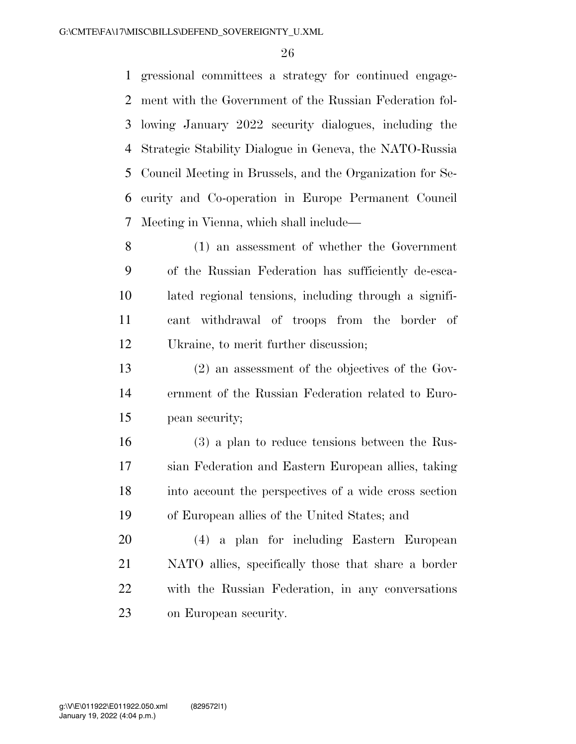gressional committees a strategy for continued engage- ment with the Government of the Russian Federation fol- lowing January 2022 security dialogues, including the Strategic Stability Dialogue in Geneva, the NATO-Russia Council Meeting in Brussels, and the Organization for Se- curity and Co-operation in Europe Permanent Council Meeting in Vienna, which shall include—

 (1) an assessment of whether the Government of the Russian Federation has sufficiently de-esca- lated regional tensions, including through a signifi- cant withdrawal of troops from the border of Ukraine, to merit further discussion;

 (2) an assessment of the objectives of the Gov- ernment of the Russian Federation related to Euro-pean security;

 (3) a plan to reduce tensions between the Rus- sian Federation and Eastern European allies, taking into account the perspectives of a wide cross section of European allies of the United States; and

 (4) a plan for including Eastern European NATO allies, specifically those that share a border with the Russian Federation, in any conversations on European security.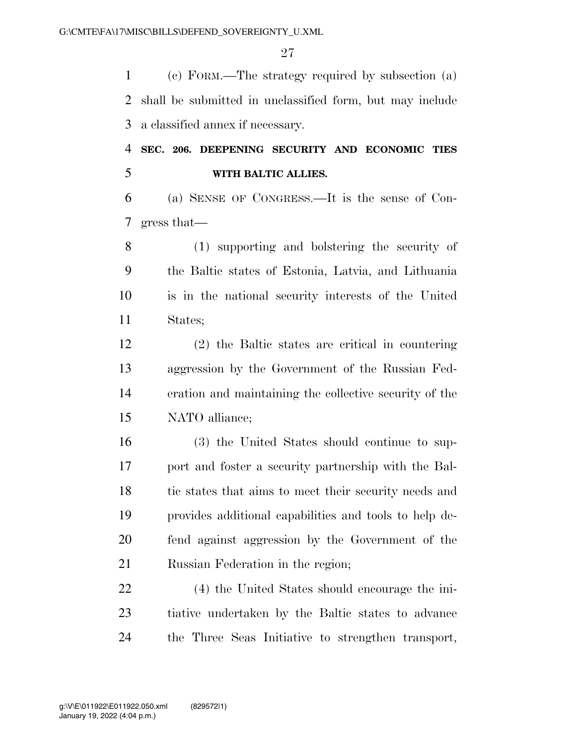(c) FORM.—The strategy required by subsection (a) shall be submitted in unclassified form, but may include a classified annex if necessary.

### **SEC. 206. DEEPENING SECURITY AND ECONOMIC TIES WITH BALTIC ALLIES.**

 (a) SENSE OF CONGRESS.—It is the sense of Con-gress that—

 (1) supporting and bolstering the security of the Baltic states of Estonia, Latvia, and Lithuania is in the national security interests of the United States;

 (2) the Baltic states are critical in countering aggression by the Government of the Russian Fed- eration and maintaining the collective security of the NATO alliance;

 (3) the United States should continue to sup- port and foster a security partnership with the Bal-18 tic states that aims to meet their security needs and provides additional capabilities and tools to help de- fend against aggression by the Government of the Russian Federation in the region;

 (4) the United States should encourage the ini- tiative undertaken by the Baltic states to advance the Three Seas Initiative to strengthen transport,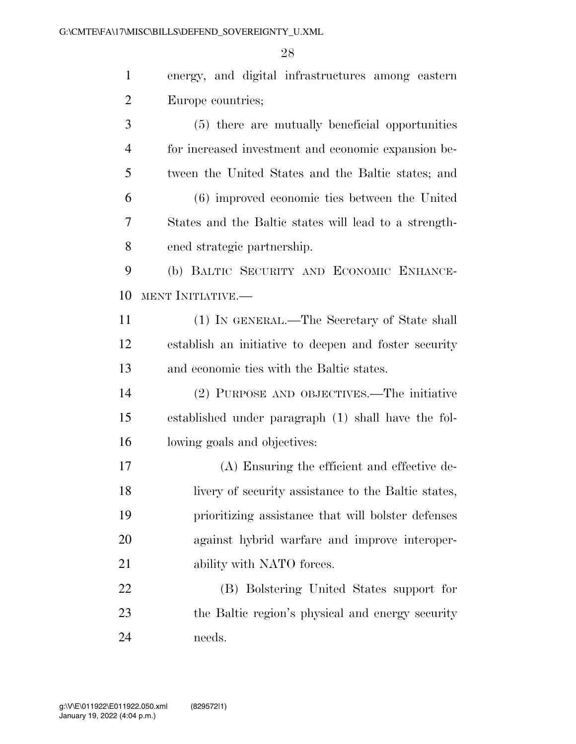energy, and digital infrastructures among eastern Europe countries;

 (5) there are mutually beneficial opportunities for increased investment and economic expansion be- tween the United States and the Baltic states; and (6) improved economic ties between the United States and the Baltic states will lead to a strength- ened strategic partnership. (b) BALTIC SECURITY AND ECONOMIC ENHANCE- MENT INITIATIVE.— (1) IN GENERAL.—The Secretary of State shall establish an initiative to deepen and foster security and economic ties with the Baltic states. (2) PURPOSE AND OBJECTIVES.—The initiative established under paragraph (1) shall have the fol- lowing goals and objectives: (A) Ensuring the efficient and effective de- livery of security assistance to the Baltic states, prioritizing assistance that will bolster defenses against hybrid warfare and improve interoper-21 ability with NATO forces. (B) Bolstering United States support for the Baltic region's physical and energy security

needs.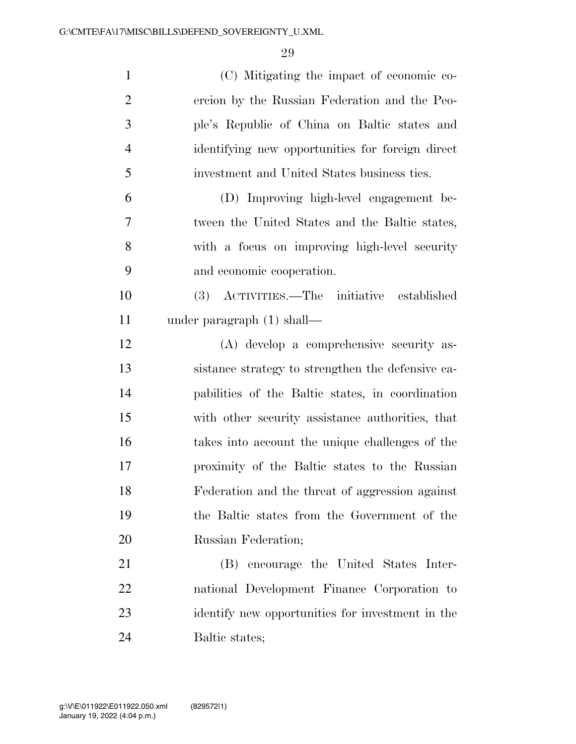| $\mathbf{1}$   | (C) Mitigating the impact of economic co-         |
|----------------|---------------------------------------------------|
| $\overline{2}$ | ercion by the Russian Federation and the Peo-     |
| 3              | ple's Republic of China on Baltic states and      |
| $\overline{4}$ | identifying new opportunities for foreign direct  |
| 5              | investment and United States business ties.       |
| 6              | (D) Improving high-level engagement be-           |
| 7              | tween the United States and the Baltic states,    |
| 8              | with a focus on improving high-level security     |
| 9              | and economic cooperation.                         |
| 10             | (3) ACTIVITIES.—The initiative<br>established     |
| 11             | under paragraph $(1)$ shall—                      |
| 12             | (A) develop a comprehensive security as-          |
| 13             | sistance strategy to strengthen the defensive ca- |
| 14             | pabilities of the Baltic states, in coordination  |
| 15             | with other security assistance authorities, that  |
| 16             | takes into account the unique challenges of the   |
| 17             | proximity of the Baltic states to the Russian     |
| 18             | Federation and the threat of aggression against   |
| 19             | the Baltic states from the Government of the      |
| 20             | Russian Federation;                               |
| 21             | (B) encourage the United States Inter-            |
| 22             | national Development Finance Corporation to       |
| 23             | identify new opportunities for investment in the  |
| 24             | Baltic states;                                    |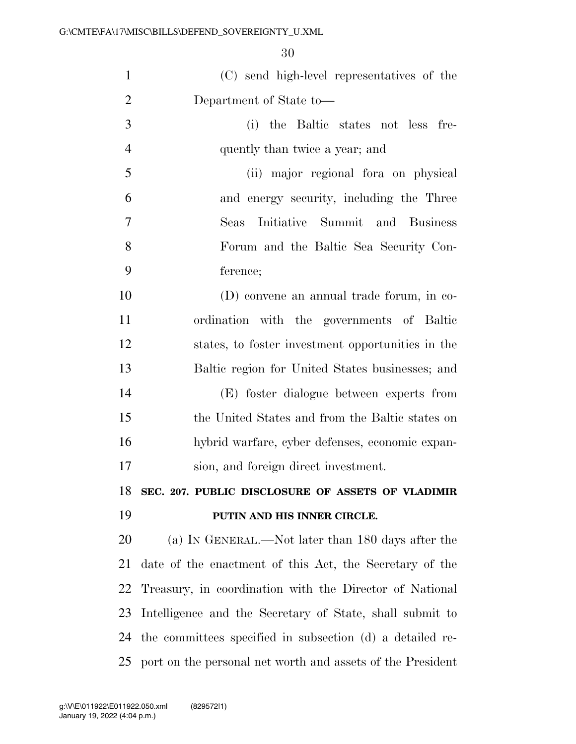| $\mathbf{1}$   | (C) send high-level representatives of the                 |
|----------------|------------------------------------------------------------|
| $\overline{2}$ | Department of State to-                                    |
| 3              | (i) the Baltic states not less fre-                        |
| $\overline{4}$ | quently than twice a year; and                             |
| 5              | (ii) major regional for aon physical                       |
| 6              | and energy security, including the Three                   |
| 7              | Initiative Summit and Business<br>Seas                     |
| 8              | Forum and the Baltic Sea Security Con-                     |
| 9              | ference;                                                   |
| 10             | (D) convene an annual trade forum, in co-                  |
| 11             | ordination with the governments of Baltic                  |
| 12             | states, to foster investment opportunities in the          |
| 13             | Baltic region for United States businesses; and            |
| 14             | (E) foster dialogue between experts from                   |
| 15             | the United States and from the Baltic states on            |
| 16             | hybrid warfare, cyber defenses, economic expan-            |
| 17             | sion, and foreign direct investment.                       |
| 18             | SEC. 207. PUBLIC DISCLOSURE OF ASSETS OF VLADIMIR          |
| 19             | PUTIN AND HIS INNER CIRCLE.                                |
| 20             | (a) IN GENERAL.—Not later than 180 days after the          |
| 21             | date of the enactment of this Act, the Secretary of the    |
| 22             | Treasury, in coordination with the Director of National    |
| 23             | Intelligence and the Secretary of State, shall submit to   |
| 24             | the committees specified in subsection (d) a detailed re-  |
| 25             | port on the personal net worth and assets of the President |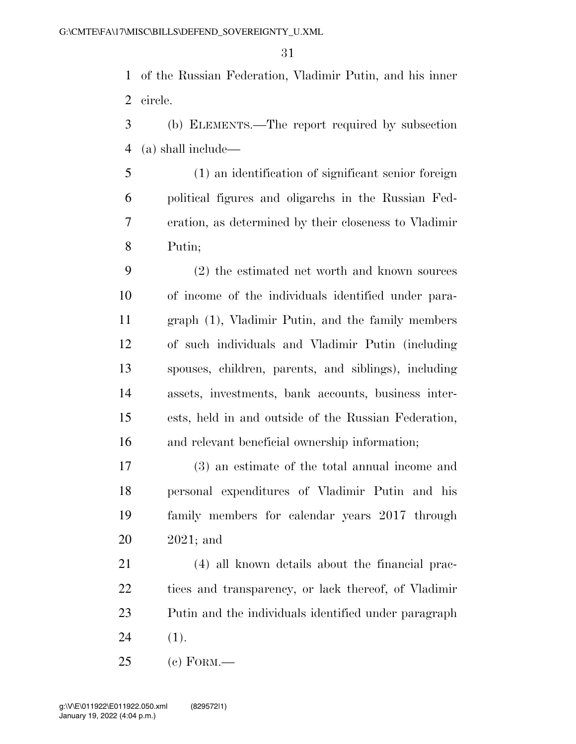of the Russian Federation, Vladimir Putin, and his inner circle.

 (b) ELEMENTS.—The report required by subsection (a) shall include—

 (1) an identification of significant senior foreign political figures and oligarchs in the Russian Fed- eration, as determined by their closeness to Vladimir Putin;

 (2) the estimated net worth and known sources of income of the individuals identified under para- graph (1), Vladimir Putin, and the family members of such individuals and Vladimir Putin (including spouses, children, parents, and siblings), including assets, investments, bank accounts, business inter- ests, held in and outside of the Russian Federation, and relevant beneficial ownership information;

 (3) an estimate of the total annual income and personal expenditures of Vladimir Putin and his family members for calendar years 2017 through 2021; and

 (4) all known details about the financial prac- tices and transparency, or lack thereof, of Vladimir Putin and the individuals identified under paragraph (1).

(c) FORM.—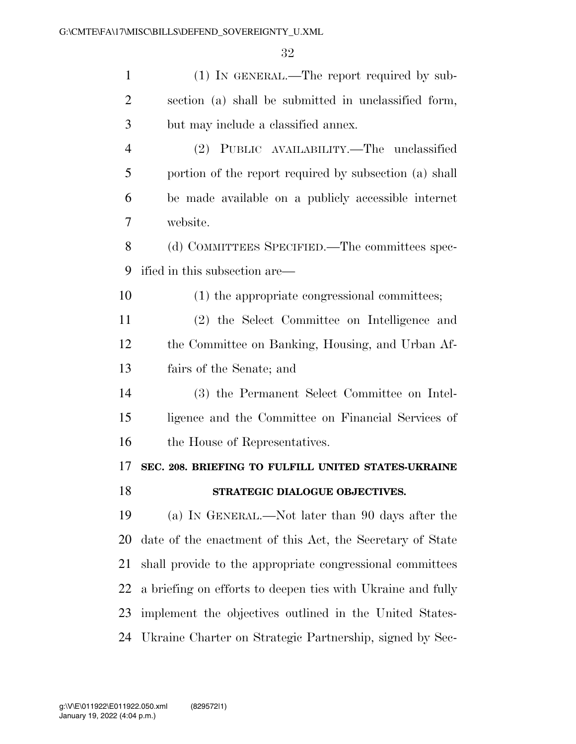| $\mathbf{1}$   | (1) IN GENERAL.—The report required by sub-                 |
|----------------|-------------------------------------------------------------|
| $\overline{2}$ | section (a) shall be submitted in unclassified form,        |
| 3              | but may include a classified annex.                         |
| $\overline{4}$ | (2) PUBLIC AVAILABILITY.—The unclassified                   |
| 5              | portion of the report required by subsection (a) shall      |
| 6              | be made available on a publicly accessible internet         |
| 7              | website.                                                    |
| 8              | (d) COMMITTEES SPECIFIED.—The committees spec-              |
| 9              | ified in this subsection are—                               |
| 10             | (1) the appropriate congressional committees;               |
| 11             | (2) the Select Committee on Intelligence and                |
| 12             | the Committee on Banking, Housing, and Urban Af-            |
| 13             | fairs of the Senate; and                                    |
|                |                                                             |
| 14             | (3) the Permanent Select Committee on Intel-                |
| 15             | ligence and the Committee on Financial Services of          |
| 16             | the House of Representatives.                               |
| 17             | SEC. 208. BRIEFING TO FULFILL UNITED STATES-UKRAINE         |
| 18             | STRATEGIC DIALOGUE OBJECTIVES.                              |
| 19             | (a) IN GENERAL.—Not later than 90 days after the            |
| 20             | date of the enactment of this Act, the Secretary of State   |
| 21             | shall provide to the appropriate congressional committees   |
| 22             | a briefing on efforts to deepen ties with Ukraine and fully |
| 23             | implement the objectives outlined in the United States-     |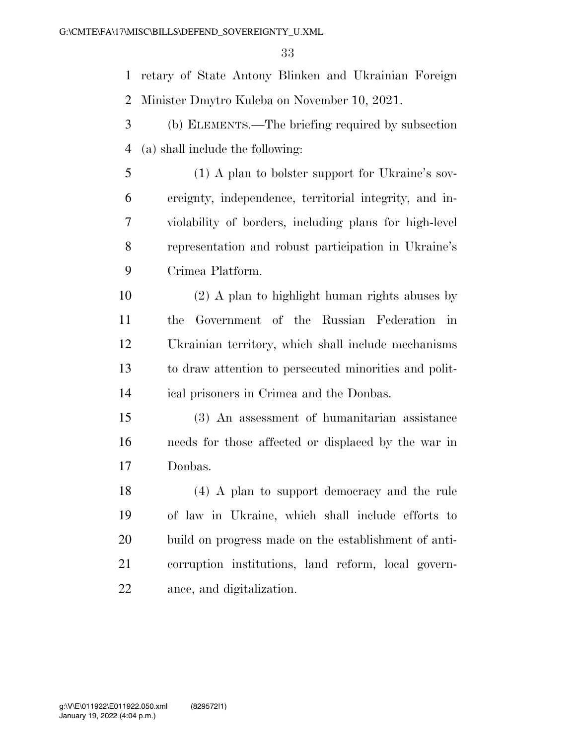retary of State Antony Blinken and Ukrainian Foreign Minister Dmytro Kuleba on November 10, 2021.

- (b) ELEMENTS.—The briefing required by subsection (a) shall include the following:
- (1) A plan to bolster support for Ukraine's sov- ereignty, independence, territorial integrity, and in- violability of borders, including plans for high-level representation and robust participation in Ukraine's Crimea Platform.
- (2) A plan to highlight human rights abuses by the Government of the Russian Federation in Ukrainian territory, which shall include mechanisms to draw attention to persecuted minorities and polit-ical prisoners in Crimea and the Donbas.
- (3) An assessment of humanitarian assistance needs for those affected or displaced by the war in Donbas.
- (4) A plan to support democracy and the rule of law in Ukraine, which shall include efforts to build on progress made on the establishment of anti- corruption institutions, land reform, local govern-ance, and digitalization.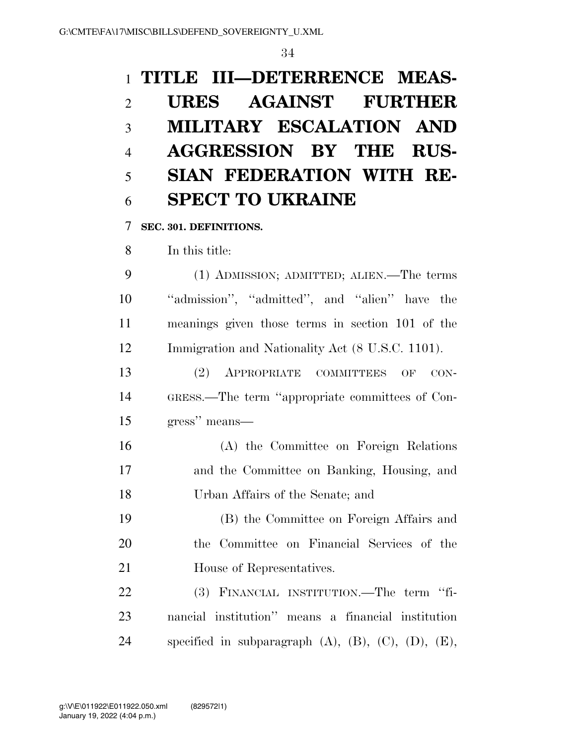## **TITLE III—DETERRENCE MEAS- URES AGAINST FURTHER MILITARY ESCALATION AND AGGRESSION BY THE RUS- SIAN FEDERATION WITH RE-SPECT TO UKRAINE**

**SEC. 301. DEFINITIONS.** 

In this title:

 (1) ADMISSION; ADMITTED; ALIEN.—The terms ''admission'', ''admitted'', and ''alien'' have the meanings given those terms in section 101 of the Immigration and Nationality Act (8 U.S.C. 1101).

 (2) APPROPRIATE COMMITTEES OF CON- GRESS.—The term ''appropriate committees of Con-gress'' means—

 (A) the Committee on Foreign Relations and the Committee on Banking, Housing, and Urban Affairs of the Senate; and

 (B) the Committee on Foreign Affairs and the Committee on Financial Services of the House of Representatives.

 (3) FINANCIAL INSTITUTION.—The term ''fi- nancial institution'' means a financial institution specified in subparagraph (A), (B), (C), (D), (E),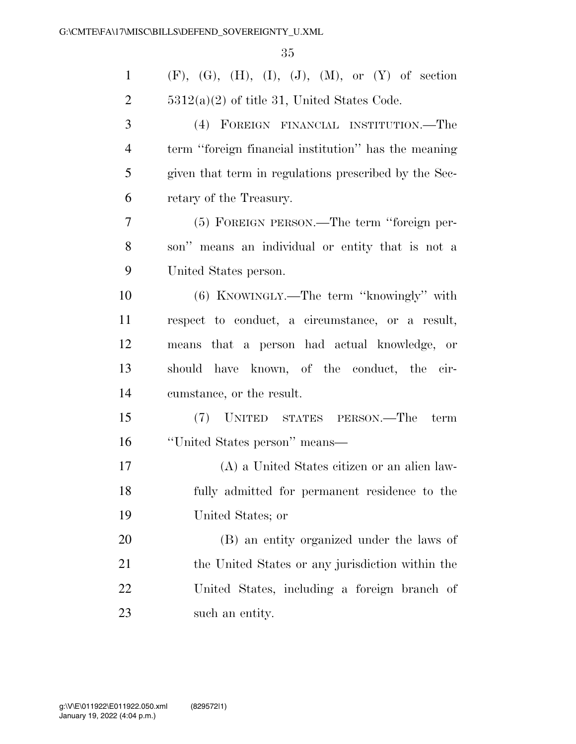| $\mathbf{1}$   | $(F)$ , $(G)$ , $(H)$ , $(I)$ , $(J)$ , $(M)$ , or $(Y)$ of section |
|----------------|---------------------------------------------------------------------|
| $\overline{2}$ | $5312(a)(2)$ of title 31, United States Code.                       |
| 3              | (4) FOREIGN FINANCIAL INSTITUTION.—The                              |
| $\overline{4}$ | term "foreign financial institution" has the meaning                |
| 5              | given that term in regulations prescribed by the Sec-               |
| 6              | retary of the Treasury.                                             |
| 7              | (5) FOREIGN PERSON.—The term "foreign per-                          |
| 8              | son" means an individual or entity that is not a                    |
| 9              | United States person.                                               |
| 10             | $(6)$ KNOWINGLY.—The term "knowingly" with                          |
| 11             | respect to conduct, a circumstance, or a result,                    |
| 12             | means that a person had actual knowledge, or                        |
| 13             | should have known, of the conduct, the cir-                         |
| 14             | cumstance, or the result.                                           |
| 15             | (7) UNITED STATES PERSON.—The<br>term                               |
| 16             | "United States person" means—                                       |
| 17             | (A) a United States citizen or an alien law-                        |
| 18             | fully admitted for permanent residence to the                       |
| 19             | United States; or                                                   |
| 20             | (B) an entity organized under the laws of                           |
| 21             | the United States or any jurisdiction within the                    |
| 22             | United States, including a foreign branch of                        |
| 23             | such an entity.                                                     |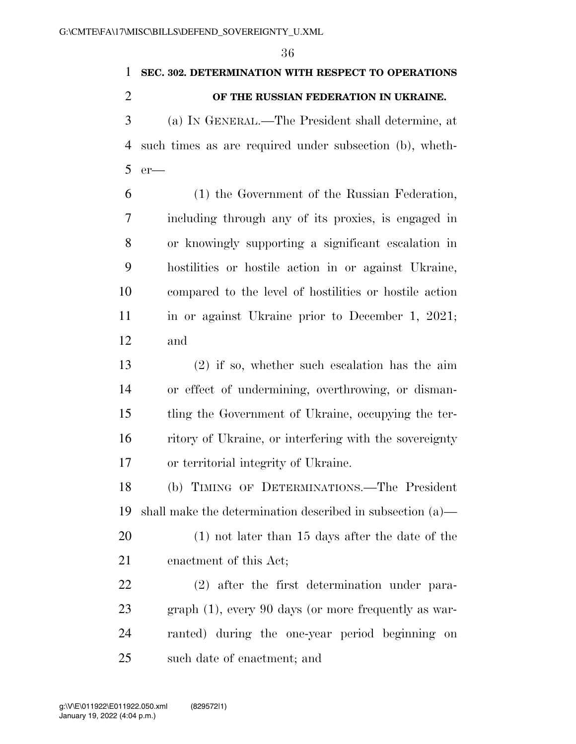#### **SEC. 302. DETERMINATION WITH RESPECT TO OPERATIONS**

#### **OF THE RUSSIAN FEDERATION IN UKRAINE.**

 (a) IN GENERAL.—The President shall determine, at such times as are required under subsection (b), wheth-er—

 (1) the Government of the Russian Federation, including through any of its proxies, is engaged in or knowingly supporting a significant escalation in hostilities or hostile action in or against Ukraine, compared to the level of hostilities or hostile action 11 in or against Ukraine prior to December 1, 2021; and

 (2) if so, whether such escalation has the aim or effect of undermining, overthrowing, or disman- tling the Government of Ukraine, occupying the ter- ritory of Ukraine, or interfering with the sovereignty or territorial integrity of Ukraine.

 (b) TIMING OF DETERMINATIONS.—The President shall make the determination described in subsection (a)—

 (1) not later than 15 days after the date of the enactment of this Act;

 (2) after the first determination under para- graph (1), every 90 days (or more frequently as war- ranted) during the one-year period beginning on such date of enactment; and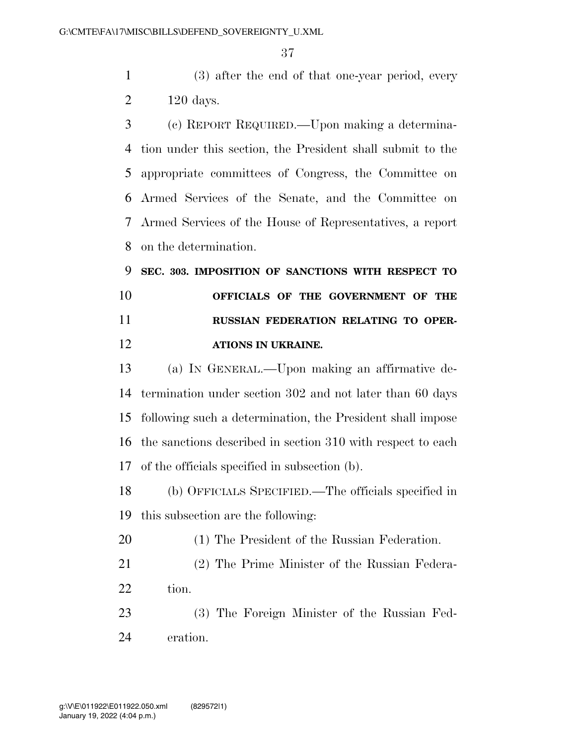(3) after the end of that one-year period, every 120 days.

 (c) REPORT REQUIRED.—Upon making a determina- tion under this section, the President shall submit to the appropriate committees of Congress, the Committee on Armed Services of the Senate, and the Committee on Armed Services of the House of Representatives, a report on the determination.

 **SEC. 303. IMPOSITION OF SANCTIONS WITH RESPECT TO OFFICIALS OF THE GOVERNMENT OF THE RUSSIAN FEDERATION RELATING TO OPER-ATIONS IN UKRAINE.** 

 (a) IN GENERAL.—Upon making an affirmative de- termination under section 302 and not later than 60 days following such a determination, the President shall impose the sanctions described in section 310 with respect to each of the officials specified in subsection (b).

 (b) OFFICIALS SPECIFIED.—The officials specified in this subsection are the following:

(1) The President of the Russian Federation.

 (2) The Prime Minister of the Russian Federa-22 tion.

 (3) The Foreign Minister of the Russian Fed-eration.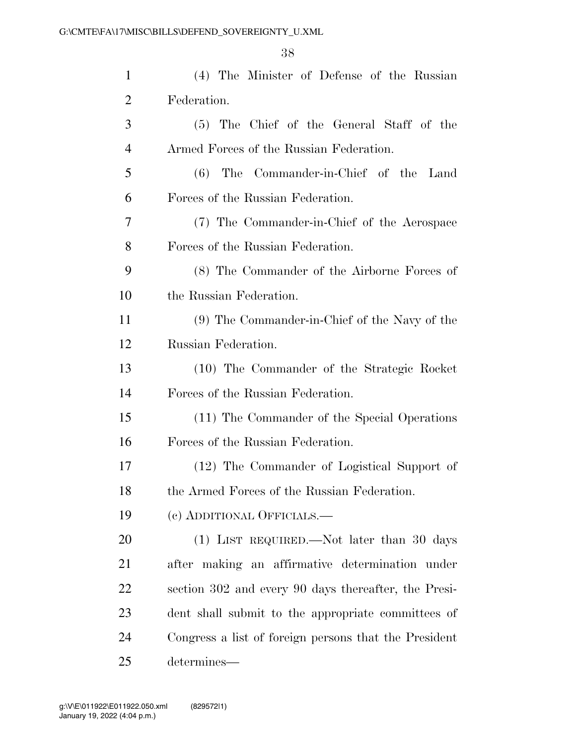| $\mathbf{1}$   | (4) The Minister of Defense of the Russian            |
|----------------|-------------------------------------------------------|
| $\overline{2}$ | Federation.                                           |
| 3              | (5) The Chief of the General Staff of the             |
| $\overline{4}$ | Armed Forces of the Russian Federation.               |
| 5              | (6) The Commander-in-Chief of the Land                |
| 6              | Forces of the Russian Federation.                     |
| 7              | (7) The Commander-in-Chief of the Aerospace           |
| 8              | Forces of the Russian Federation.                     |
| 9              | (8) The Commander of the Airborne Forces of           |
| 10             | the Russian Federation.                               |
| 11             | (9) The Commander-in-Chief of the Navy of the         |
| 12             | Russian Federation.                                   |
| 13             | (10) The Commander of the Strategic Rocket            |
| 14             | Forces of the Russian Federation.                     |
| 15             | (11) The Commander of the Special Operations          |
| 16             | Forces of the Russian Federation.                     |
| 17             | (12) The Commander of Logistical Support of           |
| 18             | the Armed Forces of the Russian Federation.           |
| 19             | (c) ADDITIONAL OFFICIALS.—                            |
| 20             | (1) LIST REQUIRED.—Not later than 30 days             |
| 21             | after making an affirmative determination under       |
| <u>22</u>      | section 302 and every 90 days thereafter, the Presi-  |
| 23             | dent shall submit to the appropriate committees of    |
| 24             | Congress a list of foreign persons that the President |
| 25             | determines—                                           |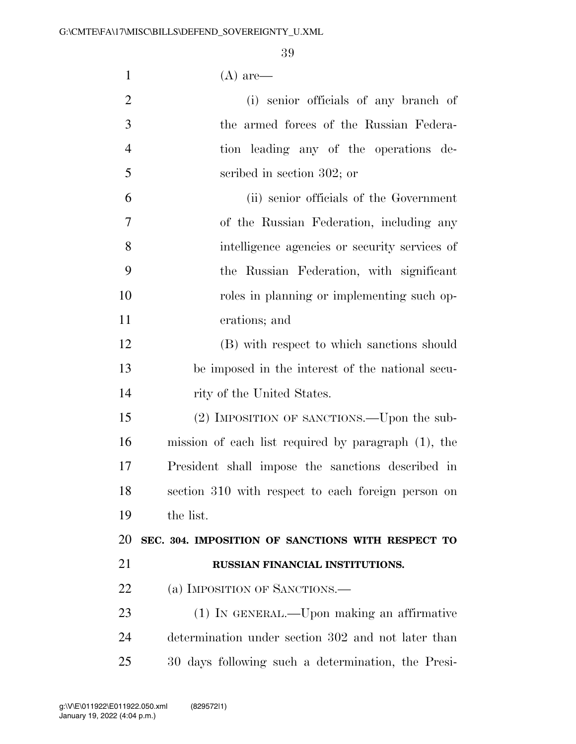| $\mathbf{1}$   | $(A)$ are—                                             |
|----------------|--------------------------------------------------------|
| $\overline{2}$ | (i) senior officials of any branch of                  |
| 3              | the armed forces of the Russian Federa-                |
| $\overline{4}$ | tion leading any of the operations de-                 |
| 5              | scribed in section 302; or                             |
| 6              | (ii) senior officials of the Government                |
| $\overline{7}$ | of the Russian Federation, including any               |
| 8              | intelligence agencies or security services of          |
| 9              | the Russian Federation, with significant               |
| 10             | roles in planning or implementing such op-             |
| 11             | erations; and                                          |
| 12             | (B) with respect to which sanctions should             |
| 13             | be imposed in the interest of the national secu-       |
| 14             | rity of the United States.                             |
| 15             | (2) IMPOSITION OF SANCTIONS.—Upon the sub-             |
| 16             | mission of each list required by paragraph $(1)$ , the |
| 17             | President shall impose the sanctions described in      |
| 18             | section 310 with respect to each foreign person on     |
| 19             | the list.                                              |
| 20             | SEC. 304. IMPOSITION OF SANCTIONS WITH RESPECT TO      |
| 21             | RUSSIAN FINANCIAL INSTITUTIONS.                        |
| 22             | (a) IMPOSITION OF SANCTIONS.—                          |
| 23             | (1) IN GENERAL.—Upon making an affirmative             |
| 24             | determination under section 302 and not later than     |
| 25             | 30 days following such a determination, the Presi-     |
|                |                                                        |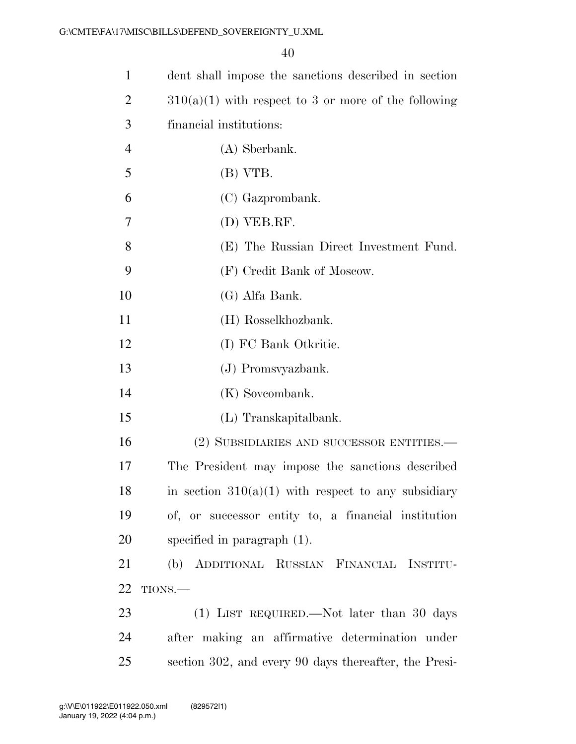| $\mathbf{1}$   | dent shall impose the sanctions described in section   |
|----------------|--------------------------------------------------------|
| $\overline{2}$ | $310(a)(1)$ with respect to 3 or more of the following |
| 3              | financial institutions:                                |
| $\overline{4}$ | (A) Sberbank.                                          |
| 5              | (B) VTB.                                               |
| 6              | (C) Gazprombank.                                       |
| 7              | (D) VEB.RF.                                            |
| 8              | (E) The Russian Direct Investment Fund.                |
| 9              | (F) Credit Bank of Moscow.                             |
| 10             | (G) Alfa Bank.                                         |
| 11             | (H) Rosselkhozbank.                                    |
| 12             | (I) FC Bank Otkritie.                                  |
| 13             | (J) Promsvyazbank.                                     |
| 14             | (K) Soveombank.                                        |
| 15             | (L) Transkapitalbank.                                  |
| 16             | (2) SUBSIDIARIES AND SUCCESSOR ENTITIES.-              |
| 17             | The President may impose the sanctions described       |
| 18             | in section $310(a)(1)$ with respect to any subsidiary  |
| 19             | of, or successor entity to, a financial institution    |
| 20             | specified in paragraph $(1)$ .                         |
| 21             | (b) ADDITIONAL RUSSIAN FINANCIAL INSTITU-              |
| 22             | TIONS.-                                                |
| 23             | (1) LIST REQUIRED.—Not later than 30 days              |
| 24             | after making an affirmative determination under        |
| 25             | section 302, and every 90 days thereafter, the Presi-  |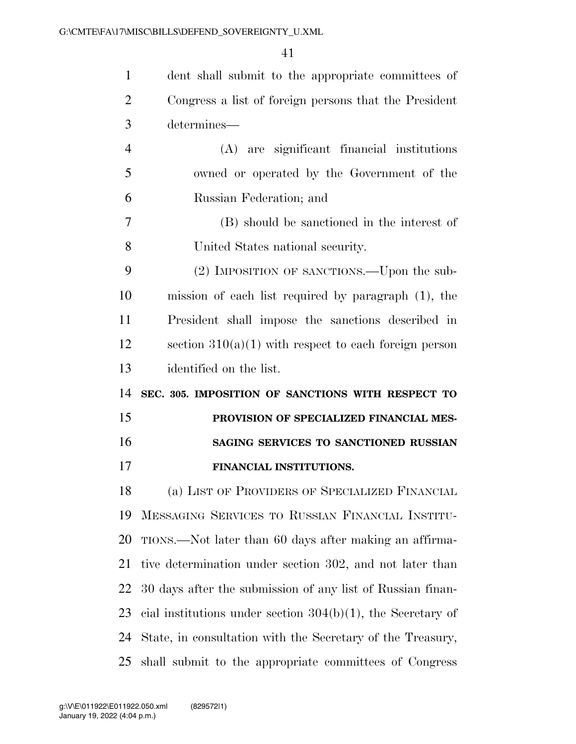| $\mathbf{1}$   | dent shall submit to the appropriate committees of             |
|----------------|----------------------------------------------------------------|
| $\overline{2}$ | Congress a list of foreign persons that the President          |
| 3              | determines—                                                    |
| $\overline{4}$ | (A) are significant financial institutions                     |
| 5              | owned or operated by the Government of the                     |
| 6              | Russian Federation; and                                        |
| 7              | (B) should be sanctioned in the interest of                    |
| 8              | United States national security.                               |
| 9              | (2) IMPOSITION OF SANCTIONS.—Upon the sub-                     |
| 10             | mission of each list required by paragraph (1), the            |
| 11             | President shall impose the sanctions described in              |
| 12             | section $310(a)(1)$ with respect to each foreign person        |
| 13             | identified on the list.                                        |
| 14             | SEC. 305. IMPOSITION OF SANCTIONS WITH RESPECT TO              |
| 15             | PROVISION OF SPECIALIZED FINANCIAL MES-                        |
| 16             | SAGING SERVICES TO SANCTIONED RUSSIAN                          |
| 17             | FINANCIAL INSTITUTIONS.                                        |
| 18             | (a) LIST OF PROVIDERS OF SPECIALIZED FINANCIAL                 |
| 19             | MESSAGING SERVICES TO RUSSIAN FINANCIAL INSTITU-               |
| 20             | TIONS.—Not later than 60 days after making an affirma-         |
| 21             | tive determination under section 302, and not later than       |
| 22             | 30 days after the submission of any list of Russian finan-     |
| 23             | cial institutions under section $304(b)(1)$ , the Secretary of |
|                |                                                                |
| 24             | State, in consultation with the Secretary of the Treasury,     |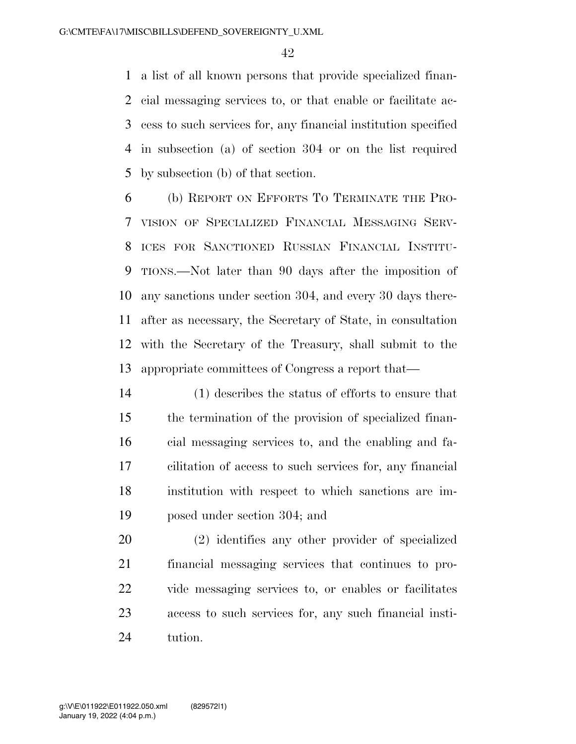a list of all known persons that provide specialized finan- cial messaging services to, or that enable or facilitate ac- cess to such services for, any financial institution specified in subsection (a) of section 304 or on the list required by subsection (b) of that section.

 (b) REPORT ON EFFORTS TO TERMINATE THE PRO- VISION OF SPECIALIZED FINANCIAL MESSAGING SERV- ICES FOR SANCTIONED RUSSIAN FINANCIAL INSTITU- TIONS.—Not later than 90 days after the imposition of any sanctions under section 304, and every 30 days there- after as necessary, the Secretary of State, in consultation with the Secretary of the Treasury, shall submit to the appropriate committees of Congress a report that—

 (1) describes the status of efforts to ensure that the termination of the provision of specialized finan- cial messaging services to, and the enabling and fa- cilitation of access to such services for, any financial institution with respect to which sanctions are im-posed under section 304; and

 (2) identifies any other provider of specialized financial messaging services that continues to pro- vide messaging services to, or enables or facilitates access to such services for, any such financial insti-tution.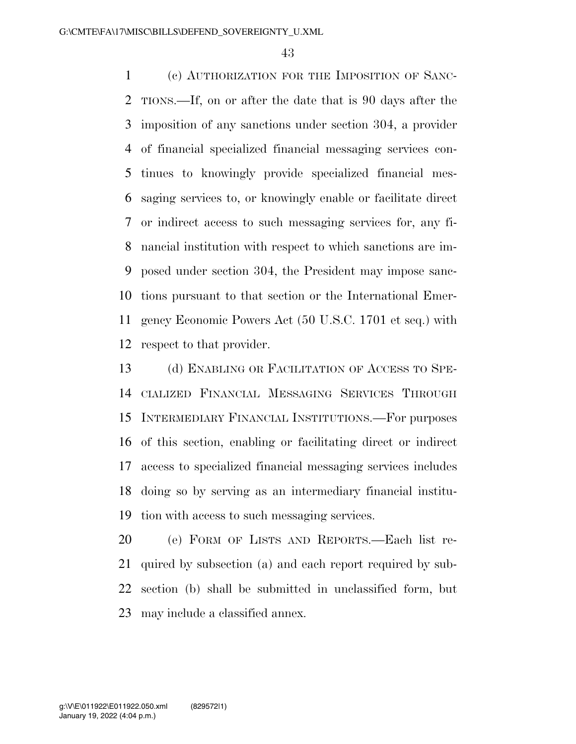(c) AUTHORIZATION FOR THE IMPOSITION OF SANC- TIONS.—If, on or after the date that is 90 days after the imposition of any sanctions under section 304, a provider of financial specialized financial messaging services con- tinues to knowingly provide specialized financial mes- saging services to, or knowingly enable or facilitate direct or indirect access to such messaging services for, any fi- nancial institution with respect to which sanctions are im- posed under section 304, the President may impose sanc- tions pursuant to that section or the International Emer- gency Economic Powers Act (50 U.S.C. 1701 et seq.) with respect to that provider.

13 (d) ENABLING OR FACILITATION OF ACCESS TO SPE- CIALIZED FINANCIAL MESSAGING SERVICES THROUGH INTERMEDIARY FINANCIAL INSTITUTIONS.—For purposes of this section, enabling or facilitating direct or indirect access to specialized financial messaging services includes doing so by serving as an intermediary financial institu-tion with access to such messaging services.

 (e) FORM OF LISTS AND REPORTS.—Each list re- quired by subsection (a) and each report required by sub- section (b) shall be submitted in unclassified form, but may include a classified annex.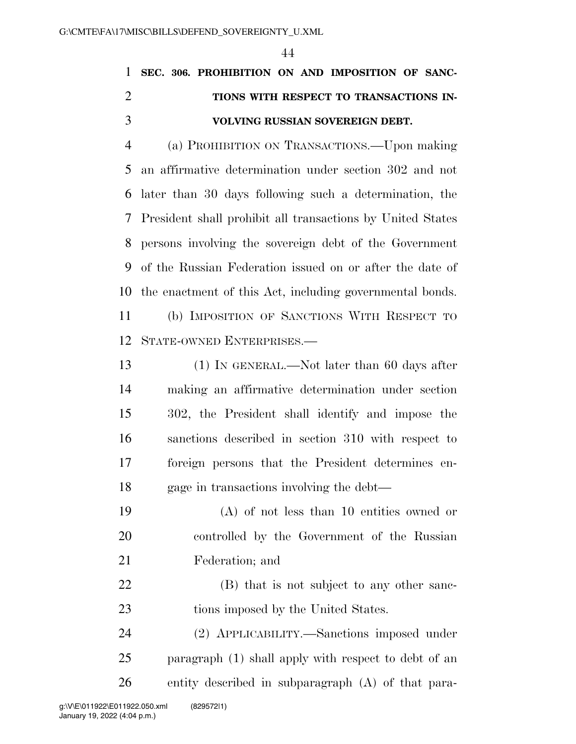## **SEC. 306. PROHIBITION ON AND IMPOSITION OF SANC- TIONS WITH RESPECT TO TRANSACTIONS IN-VOLVING RUSSIAN SOVEREIGN DEBT.**

 (a) PROHIBITION ON TRANSACTIONS.—Upon making an affirmative determination under section 302 and not later than 30 days following such a determination, the President shall prohibit all transactions by United States persons involving the sovereign debt of the Government of the Russian Federation issued on or after the date of the enactment of this Act, including governmental bonds.

 (b) IMPOSITION OF SANCTIONS WITH RESPECT TO STATE-OWNED ENTERPRISES.—

13 (1) IN GENERAL.—Not later than 60 days after making an affirmative determination under section 302, the President shall identify and impose the sanctions described in section 310 with respect to foreign persons that the President determines en-gage in transactions involving the debt—

 (A) of not less than 10 entities owned or controlled by the Government of the Russian Federation; and

22 (B) that is not subject to any other sanc-23 tions imposed by the United States.

 (2) APPLICABILITY.—Sanctions imposed under paragraph (1) shall apply with respect to debt of an entity described in subparagraph (A) of that para-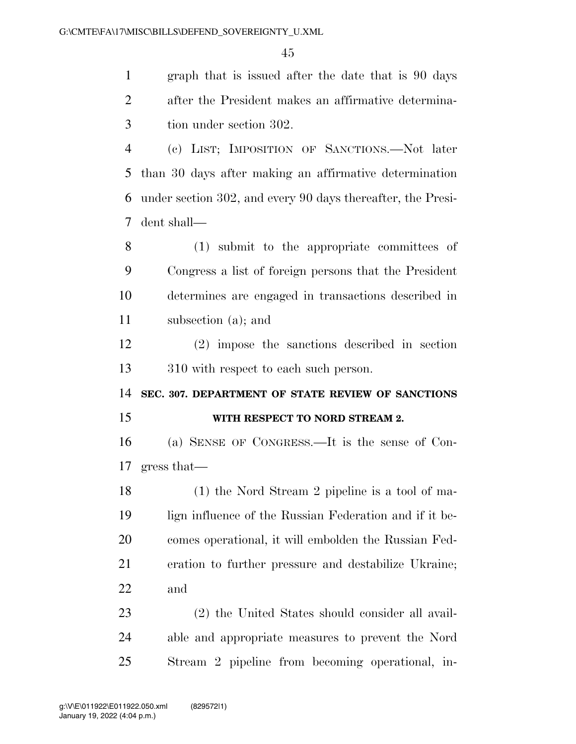graph that is issued after the date that is 90 days after the President makes an affirmative determina-tion under section 302.

 (c) LIST; IMPOSITION OF SANCTIONS.—Not later than 30 days after making an affirmative determination under section 302, and every 90 days thereafter, the Presi-dent shall—

 (1) submit to the appropriate committees of Congress a list of foreign persons that the President determines are engaged in transactions described in subsection (a); and

 (2) impose the sanctions described in section 310 with respect to each such person.

**SEC. 307. DEPARTMENT OF STATE REVIEW OF SANCTIONS** 

#### **WITH RESPECT TO NORD STREAM 2.**

 (a) SENSE OF CONGRESS.—It is the sense of Con-gress that—

 (1) the Nord Stream 2 pipeline is a tool of ma- lign influence of the Russian Federation and if it be- comes operational, it will embolden the Russian Fed- eration to further pressure and destabilize Ukraine; and

 (2) the United States should consider all avail- able and appropriate measures to prevent the Nord Stream 2 pipeline from becoming operational, in-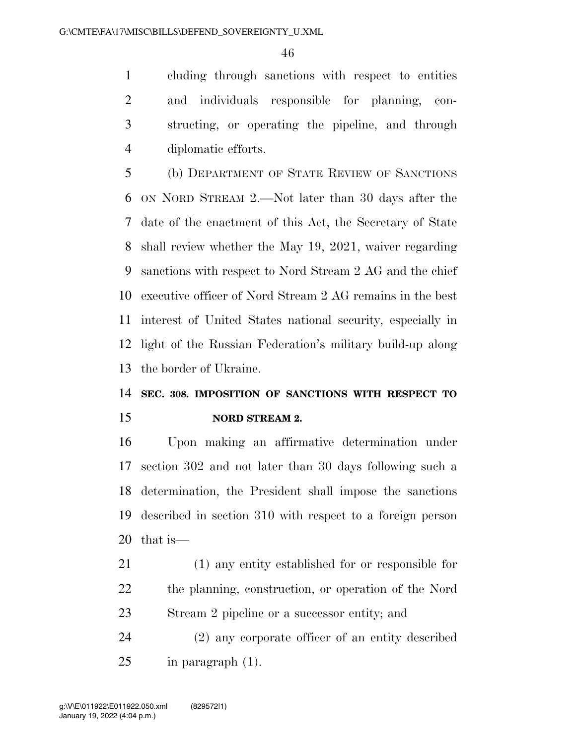cluding through sanctions with respect to entities and individuals responsible for planning, con- structing, or operating the pipeline, and through diplomatic efforts.

 (b) DEPARTMENT OF STATE REVIEW OF SANCTIONS ON NORD STREAM 2.—Not later than 30 days after the date of the enactment of this Act, the Secretary of State shall review whether the May 19, 2021, waiver regarding sanctions with respect to Nord Stream 2 AG and the chief executive officer of Nord Stream 2 AG remains in the best interest of United States national security, especially in light of the Russian Federation's military build-up along the border of Ukraine.

### **SEC. 308. IMPOSITION OF SANCTIONS WITH RESPECT TO NORD STREAM 2.**

 Upon making an affirmative determination under section 302 and not later than 30 days following such a determination, the President shall impose the sanctions described in section 310 with respect to a foreign person that is—

 (1) any entity established for or responsible for the planning, construction, or operation of the Nord Stream 2 pipeline or a successor entity; and

 (2) any corporate officer of an entity described in paragraph (1).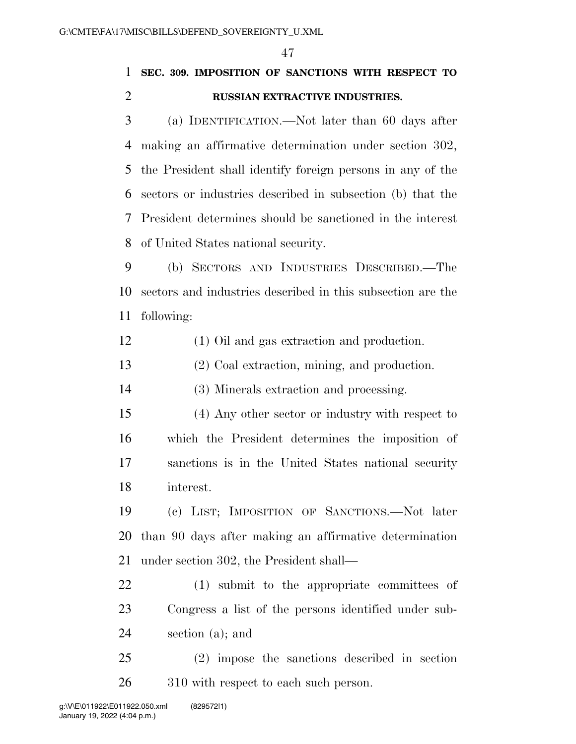## **SEC. 309. IMPOSITION OF SANCTIONS WITH RESPECT TO RUSSIAN EXTRACTIVE INDUSTRIES.**

 (a) IDENTIFICATION.—Not later than 60 days after making an affirmative determination under section 302, the President shall identify foreign persons in any of the sectors or industries described in subsection (b) that the President determines should be sanctioned in the interest of United States national security.

 (b) SECTORS AND INDUSTRIES DESCRIBED.—The sectors and industries described in this subsection are the following:

(1) Oil and gas extraction and production.

(2) Coal extraction, mining, and production.

(3) Minerals extraction and processing.

 (4) Any other sector or industry with respect to which the President determines the imposition of sanctions is in the United States national security interest.

 (c) LIST; IMPOSITION OF SANCTIONS.—Not later than 90 days after making an affirmative determination under section 302, the President shall—

 (1) submit to the appropriate committees of Congress a list of the persons identified under sub-section (a); and

 (2) impose the sanctions described in section 310 with respect to each such person.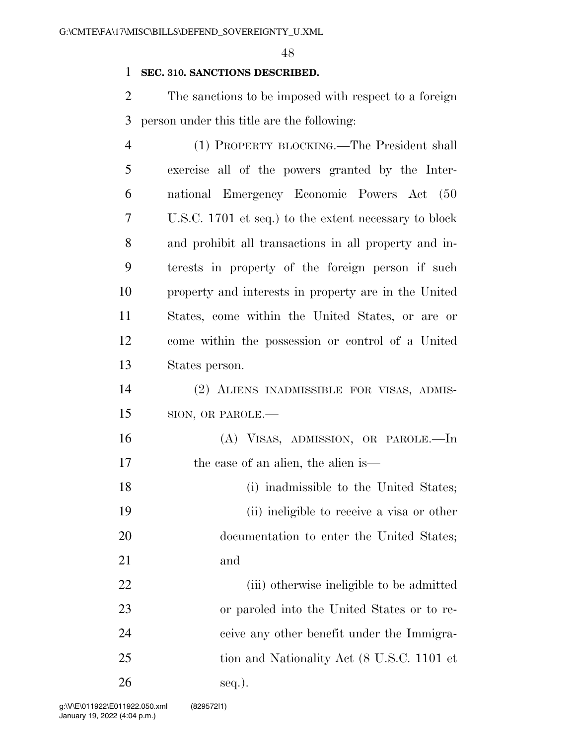#### **SEC. 310. SANCTIONS DESCRIBED.**

 The sanctions to be imposed with respect to a foreign person under this title are the following:

| 4  | (1) PROPERTY BLOCKING.—The President shall            |
|----|-------------------------------------------------------|
| 5  | exercise all of the powers granted by the Inter-      |
| 6  | national Emergency Economic Powers Act (50            |
| 7  | U.S.C. 1701 et seq.) to the extent necessary to block |
| 8  | and prohibit all transactions in all property and in- |
| 9  | terests in property of the foreign person if such     |
| 10 | property and interests in property are in the United  |
| 11 | States, come within the United States, or are or      |
| 12 | come within the possession or control of a United     |
| 13 | States person.                                        |
| 14 | (2) ALIENS INADMISSIBLE FOR VISAS, ADMIS-             |
| 15 | SION, OR PAROLE.-                                     |
| 16 | (A) VISAS, ADMISSION, OR PAROLE.—In                   |
| 17 | the case of an alien, the alien is—                   |
| 18 | (i) inadmissible to the United States;                |
| 19 | (ii) ineligible to receive a visa or other            |
| 20 | documentation to enter the United States;             |
| 21 | and                                                   |
| 22 | (iii) otherwise ineligible to be admitted             |
| 23 | or paroled into the United States or to re-           |
| 24 | ceive any other benefit under the Immigra-            |
| 25 | tion and Nationality Act (8 U.S.C. 1101 et            |
| 26 | seq.).                                                |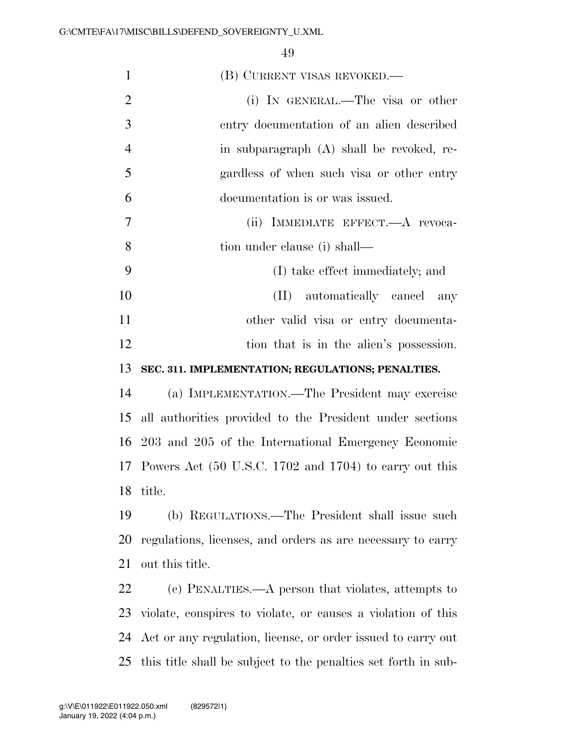| $\mathbf{1}$   | (B) CURRENT VISAS REVOKED.—                                    |
|----------------|----------------------------------------------------------------|
| $\overline{2}$ | (i) IN GENERAL.—The visa or other                              |
| 3              | entry documentation of an alien described                      |
| $\overline{4}$ | in subparagraph (A) shall be revoked, re-                      |
| 5              | gardless of when such visa or other entry                      |
| 6              | documentation is or was issued.                                |
| 7              | (ii) IMMEDIATE EFFECT.—A revoca-                               |
| 8              | tion under clause (i) shall—                                   |
| 9              | (I) take effect immediately; and                               |
| 10             | (II) automatically cancel any                                  |
| 11             | other valid visa or entry documenta-                           |
| 12             | tion that is in the alien's possession.                        |
| 13             | SEC. 311. IMPLEMENTATION; REGULATIONS; PENALTIES.              |
| 14             | (a) IMPLEMENTATION.—The President may exercise                 |
| 15             | all authorities provided to the President under sections       |
|                | 16 203 and 205 of the International Emergency Economic         |
|                | 17 Powers Act (50 U.S.C. 1702 and 1704) to carry out this      |
| 18             | title.                                                         |
| 19             | (b) REGULATIONS.—The President shall issue such                |
| 20             | regulations, licenses, and orders as are necessary to carry    |
| 21             | out this title.                                                |
| 22             | (c) PENALTIES.—A person that violates, attempts to             |
| 23             | violate, conspires to violate, or causes a violation of this   |
| 24             | Act or any regulation, license, or order issued to carry out   |
| 25             | this title shall be subject to the penalties set forth in sub- |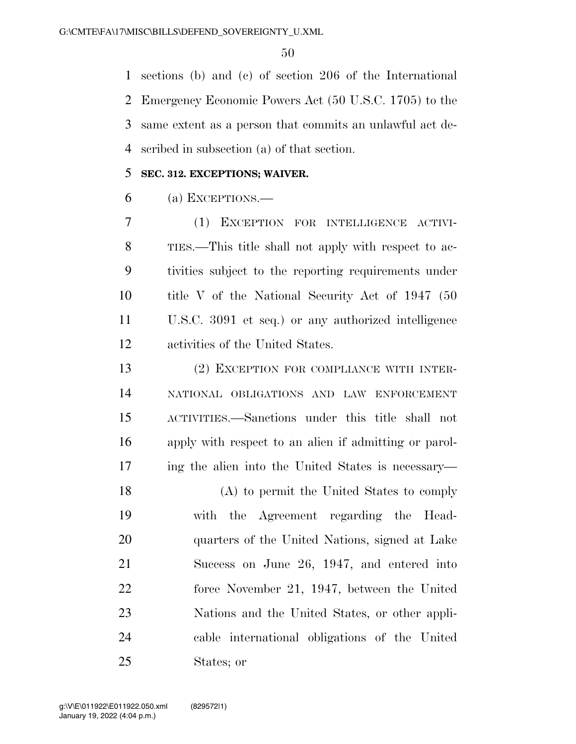sections (b) and (c) of section 206 of the International Emergency Economic Powers Act (50 U.S.C. 1705) to the same extent as a person that commits an unlawful act de-scribed in subsection (a) of that section.

#### **SEC. 312. EXCEPTIONS; WAIVER.**

(a) EXCEPTIONS.—

 (1) EXCEPTION FOR INTELLIGENCE ACTIVI- TIES.—This title shall not apply with respect to ac- tivities subject to the reporting requirements under title V of the National Security Act of 1947 (50 U.S.C. 3091 et seq.) or any authorized intelligence activities of the United States.

 (2) EXCEPTION FOR COMPLIANCE WITH INTER- NATIONAL OBLIGATIONS AND LAW ENFORCEMENT ACTIVITIES.—Sanctions under this title shall not apply with respect to an alien if admitting or parol-ing the alien into the United States is necessary—

 (A) to permit the United States to comply with the Agreement regarding the Head- quarters of the United Nations, signed at Lake Success on June 26, 1947, and entered into force November 21, 1947, between the United Nations and the United States, or other appli- cable international obligations of the United States; or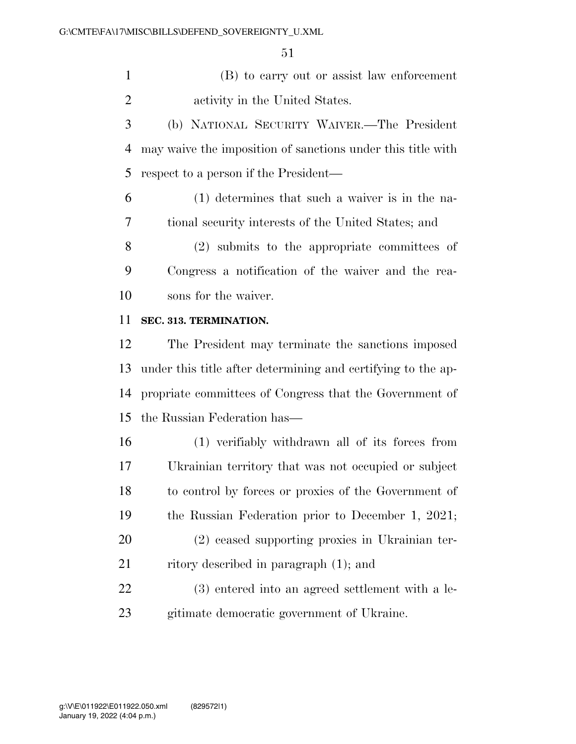(B) to carry out or assist law enforcement activity in the United States.

 (b) NATIONAL SECURITY WAIVER.—The President may waive the imposition of sanctions under this title with respect to a person if the President—

 (1) determines that such a waiver is in the na-tional security interests of the United States; and

 (2) submits to the appropriate committees of Congress a notification of the waiver and the rea-sons for the waiver.

#### **SEC. 313. TERMINATION.**

 The President may terminate the sanctions imposed under this title after determining and certifying to the ap- propriate committees of Congress that the Government of the Russian Federation has—

 (1) verifiably withdrawn all of its forces from Ukrainian territory that was not occupied or subject to control by forces or proxies of the Government of the Russian Federation prior to December 1, 2021; (2) ceased supporting proxies in Ukrainian ter-

21 ritory described in paragraph (1); and

 (3) entered into an agreed settlement with a le-gitimate democratic government of Ukraine.